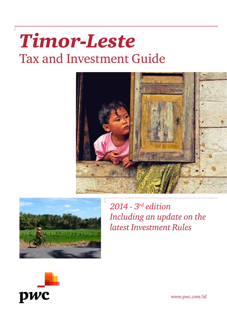# *Timor-Leste*  Tax and Investment Guide





*2014 - 3rd edition Including an update on the latest Investment Rules*



*www.pwc.com/id*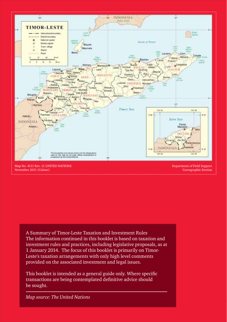

November 2011 (Colour) . . . . . . . . . . . . . . . . . .

Cartographic Section

A Summary of Timor-Leste Taxation and Investment Rules The information continued in this booklet is based on taxation and investment rules and practices, including legislative proposals, as at 1 January 2014. The focus of this booklet is primarily on Timor-Leste's taxation arrangements with only high level comments provided on the associated investment and legal issues.

This booklet is intended as a general guide only. Where specific transactions are being contemplated definitive advice should be sought.

*Map source: The United Nations*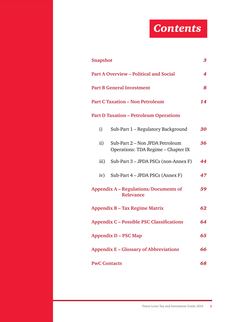# *Contents*

| 3<br><b>Snapshot</b>                                     |                                                                        |    |  |
|----------------------------------------------------------|------------------------------------------------------------------------|----|--|
|                                                          | <b>Part A Overview - Political and Social</b><br>4                     |    |  |
|                                                          | <b>Part B General Investment</b><br>8                                  |    |  |
|                                                          | <b>Part C Taxation - Non Petroleum</b>                                 | 14 |  |
| <b>Part D Taxation - Petroleum Operations</b>            |                                                                        |    |  |
| i)                                                       | Sub-Part 1 - Regulatory Background                                     | 30 |  |
| ii)                                                      | Sub-Part 2 – Non JPDA Petroleum<br>Operations: TDA Regime - Chapter IX | 36 |  |
| $\overline{\text{iii}}$                                  | Sub-Part 3 - JPDA PSCs (non-Annex F)                                   | 44 |  |
| iv)                                                      | Sub-Part 4 – JPDA PSCs (Annex F)                                       | 47 |  |
| Appendix A – Regulations/Documents of<br>59<br>Relevance |                                                                        |    |  |
| 62<br><b>Appendix B - Tax Regime Matrix</b>              |                                                                        |    |  |
| <b>Appendix C - Possible PSC Classifications</b><br>64   |                                                                        |    |  |
| 65<br><b>Appendix D - PSC Map</b>                        |                                                                        |    |  |
| 66<br><b>Appendix E – Glossary of Abbreviations</b>      |                                                                        |    |  |
| 68<br><b>PwC Contacts</b>                                |                                                                        |    |  |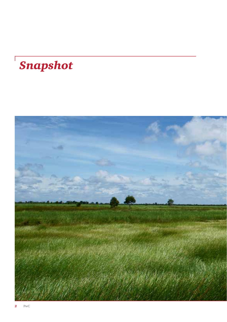# *Snapshot*

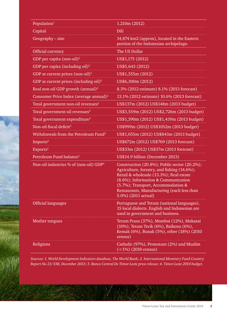| Population <sup>1</sup>                            | 1.210m (2012)                                                                                                                                                                                                                                                                            |
|----------------------------------------------------|------------------------------------------------------------------------------------------------------------------------------------------------------------------------------------------------------------------------------------------------------------------------------------------|
| Capital                                            | Dili                                                                                                                                                                                                                                                                                     |
| $Geography - size$                                 | 14,874 km2 (approx), located in the Eastern<br>portion of the Indonesian archipelago.                                                                                                                                                                                                    |
| Official currency                                  | The US Dollar                                                                                                                                                                                                                                                                            |
| GDP per capita (non-oil) <sup>2</sup>              | US\$1,175 (2012)                                                                                                                                                                                                                                                                         |
| GDP per capita (including $oil$ ) <sup>2</sup>     | US\$5,643 (2012)                                                                                                                                                                                                                                                                         |
| GDP at current prices (non-oil) $^2$               | US\$1,355m (2012)                                                                                                                                                                                                                                                                        |
| GDP at current prices (including oil) <sup>2</sup> | US\$6,300m (2012)                                                                                                                                                                                                                                                                        |
| Real non-oil GDP growth (annual) <sup>2</sup>      | 8.3% (2012 estimate) 8.1% (2013 forecast)                                                                                                                                                                                                                                                |
| Consumer Price Index (average annual) <sup>2</sup> | 13.1% (2012 estimate) 10.6% (2013 forecast)                                                                                                                                                                                                                                              |
| Total government non-oil revenues <sup>2</sup>     | US\$137m (2012) US\$148m (2013 budget)                                                                                                                                                                                                                                                   |
| Total government oil revenues <sup>2</sup>         | US\$3,559m (2012) US\$2,726m (2013 budget)                                                                                                                                                                                                                                               |
| Total government expenditure <sup>2</sup>          | US\$1,390m (2012) US\$1,439m (2013 budget)                                                                                                                                                                                                                                               |
| Non-oil fiscal deficit <sup>2</sup>                | US\$999m (2012) US\$1052m (2013 budget)                                                                                                                                                                                                                                                  |
| Withdrawals from the Petroleum Fund <sup>2</sup>   | US\$1,055m (2012) US\$843m (2013 budget)                                                                                                                                                                                                                                                 |
| Imports <sup>2</sup>                               | US\$672m (2012) US\$769 (2013 forecast)                                                                                                                                                                                                                                                  |
| Exports <sup>2</sup>                               | US\$33m (2012) US\$37m (2013 forecast)                                                                                                                                                                                                                                                   |
| Petroleum Fund balance <sup>3</sup>                | US\$14.9 billion (December 2013)                                                                                                                                                                                                                                                         |
| Non-oil industries % of (non-oil) GDP <sup>4</sup> | Construction (20.8%); Public sector (20.2%);<br>Agriculture, forestry, and fishing (14.6%);<br>Retail & wholesale (13.3%); Real estate<br>(8.6%); Information & Communication<br>(5.7%); Transport, Accommodation &<br>Restaurants, Manufacturing (each less than<br>5.0%) (2011 actual) |
| <b>Official languages</b>                          | Portuguese and Tetum (national languages).<br>15 local dialects. English and Indonesian are<br>used in government and business.                                                                                                                                                          |
| Mother tongues                                     | Tetum Prasa (37%), Mambai (12%), Makasai<br>(10%), Tetum Terik (6%), Baikenu (6%),<br>Kemak (6%), Bunak (5%), other (18%) (2010<br>census)                                                                                                                                               |
| Religions                                          | Catholic (97%), Protestant (2%) and Muslim<br>$\sqrt{(1\%)}$ (2010 census)                                                                                                                                                                                                               |

*Sources: 1. World Development Indicators database, The World Bank; 2. International Monetary Fund Country Report No.13/338, December 2013; 3. Banco Central De Timor-Leste press release; 4. Timor-Leste 2014 budget.*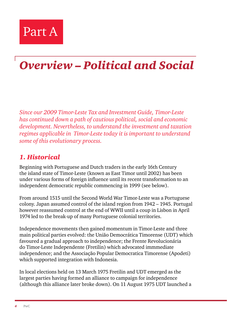

# *Overview – Political and Social*

*Since our 2009 Timor-Leste Tax and Investment Guide, Timor-Leste has continued down a path of cautious political, social and economic development. Nevertheless, to understand the investment and taxation regimes applicable in Timor-Leste today it is important to understand some of this evolutionary process.*

#### *1. Historical*

Beginning with Portuguese and Dutch traders in the early 16th Century the island state of Timor-Leste (known as East Timor until 2002) has been under various forms of foreign influence until its recent transformation to an independent democratic republic commencing in 1999 (see below).

From around 1515 until the Second World War Timor-Leste was a Portuguese colony. Japan assumed control of the island region from 1942 – 1945. Portugal however reassumed control at the end of WWII until a coup in Lisbon in April 1974 led to the break-up of many Portuguese colonial territories.

Independence movements then gained momentum in Timor-Leste and three main political parties evolved: the União Democrática Timorense (UDT) which favoured a gradual approach to independence; the Frente Revolucionária do Timor-Leste Independente (Fretilin) which advocated immmediate independence; and the Associação Popular Democratica Timorense (Apodeti) which supported integration with Indonesia.

In local elections held on 13 March 1975 Fretilin and UDT emerged as the largest parties having formed an alliance to campaign for independence (although this alliance later broke down). On 11 August 1975 UDT launched a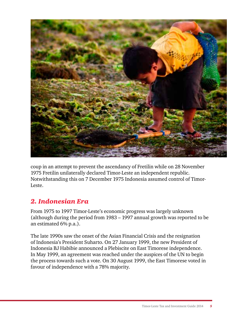

coup in an attempt to prevent the ascendancy of Fretilin while on 28 November 1975 Fretilin unilaterally declared Timor-Leste an independent republic. Notwithstanding this on 7 December 1975 Indonesia assumed control of Timor-Leste.

# *2. Indonesian Era*

From 1975 to 1997 Timor-Leste's economic progress was largely unknown (although during the period from 1983 – 1997 annual growth was reported to be an estimated 6% p.a.).

The late 1990s saw the onset of the Asian Financial Crisis and the resignation of Indonesia's President Suharto. On 27 January 1999, the new President of Indonesia BJ Habibie announced a Plebiscite on East Timorese independence. In May 1999, an agreement was reached under the auspices of the UN to begin the process towards such a vote. On 30 August 1999, the East Timorese voted in favour of independence with a 78% majority.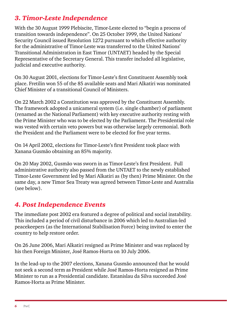# *3. Timor-Leste Independence*

With the 30 August 1999 Plebiscite, Timor-Leste elected to "begin a process of transition towards independence". On 25 October 1999, the United Nations' Security Council issued Resolution 1272 pursuant to which effective authority for the administrative of Timor-Leste was transferred to the United Nations' Transitional Administration in East Timor (UNTAET) headed by the Special Representative of the Secretary General. This transfer included all legislative, judicial and executive authority.

On 30 August 2001, elections for Timor-Leste's first Constituent Assembly took place. Fretilin won 55 of the 85 available seats and Mari Alkatiri was nominated Chief Minister of a transitional Council of Ministers.

On 22 March 2002 a Constitution was approved by the Constituent Assembly. The framework adopted a unicameral system (i.e. single chamber) of parliament (renamed as the National Parliament) with key executive authority resting with the Prime Minister who was to be elected by the Parliament. The Presidential role was vested with certain veto powers but was otherwise largely ceremonial. Both the President and the Parliament were to be elected for five year terms.

On 14 April 2002, elections for Timor-Leste's first President took place with Xanana Gusmão obtaining an 85% majority.

On 20 May 2002, Gusmão was sworn in as Timor-Leste's first President. Full administrative authority also passed from the UNTAET to the newly established Timor-Leste Government led by Mari Alkatiri as (by then) Prime Minister. On the same day, a new Timor Sea Treaty was agreed between Timor-Leste and Australia (see below).

#### *4. Post Independence Events*

The immediate post 2002 era featured a degree of political and social instability. This included a period of civil disturbance in 2006 which led to Australian-led peacekeepers (as the International Stabilisation Force) being invited to enter the country to help restore order.

On 26 June 2006, Mari Alkatiri resigned as Prime Minister and was replaced by his then Foreign Minister, José Ramos-Horta on 10 July 2006.

In the lead-up to the 2007 elections, Xanana Gusmão announced that he would not seek a second term as President while José Ramos-Horta resigned as Prime Minister to run as a Presidential candidate. Estanislau da Silva succeeded José Ramos-Horta as Prime Minister.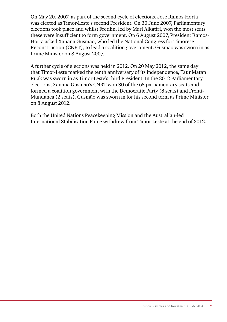On May 20, 2007, as part of the second cycle of elections, José Ramos-Horta was elected as Timor-Leste's second President. On 30 June 2007, Parliamentary elections took place and whilst Fretilin, led by Mari Alkatiri, won the most seats these were insufficient to form government. On 6 August 2007, President Ramos-Horta asked Xanana Gusmão, who led the National Congress for Timorese Reconstruction (CNRT), to lead a coalition government. Gusmão was sworn in as Prime Minister on 8 August 2007.

A further cycle of elections was held in 2012. On 20 May 2012, the same day that Timor-Leste marked the tenth anniversary of its independence, Taur Matan Ruak was sworn in as Timor-Leste's third President. In the 2012 Parliamentary elections, Xanana Gusmão's CNRT won 30 of the 65 parliamentary seats and formed a coalition government with the Democratic Party (8 seats) and Frenti-Mundanca (2 seats). Gusmão was sworn in for his second term as Prime Minister on 8 August 2012.

Both the United Nations Peacekeeping Mission and the Australian-led International Stabilisation Force withdrew from Timor-Leste at the end of 2012.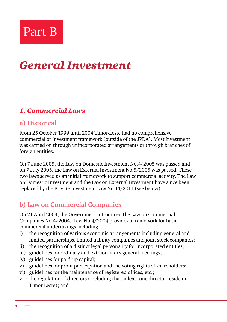

# *General Investment*

## *1. Commercial Laws*

#### **a) Historical**

From 25 October 1999 until 2004 Timor-Leste had no comprehensive commercial or investment framework (outside of the JPDA). Most investment was carried on through unincorporated arrangements or through branches of foreign entities.

On 7 June 2005, the Law on Domestic Investment No.4/2005 was passed and on 7 July 2005, the Law on External Investment No.5/2005 was passed. These two laws served as an initial framework to support commercial activity. The Law on Domestic Investment and the Law on External Investment have since been replaced by the Private Investment Law No.14/2011 (see below).

#### **b) Law on Commercial Companies**

On 21 April 2004, the Government introduced the Law on Commercial Companies No.4/2004. Law No.4/2004 provides a framework for basic commercial undertakings including:

- i) the recognition of various economic arrangements including general and limited partnerships, limited liability companies and joint stock companies;
- ii) the recognition of a distinct legal personality for incorporated entities;
- iii) guidelines for ordinary and extraordinary general meetings;
- iv) guidelines for paid-up capital;
- v) guidelines for profit participation and the voting rights of shareholders;
- vi) guidelines for the maintenance of registered offices, etc.;
- vii) the regulation of directors (including that at least one director reside in Timor-Leste); and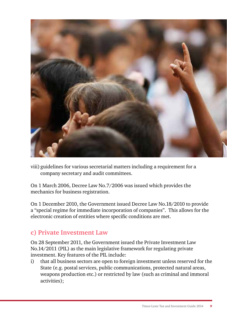

viii) guidelines for various secretarial matters including a requirement for a company secretary and audit committees.

On 1 March 2006, Decree Law No.7/2006 was issued which provides the mechanics for business registration.

On 1 December 2010, the Government issued Decree Law No.18/2010 to provide a "special regime for immediate incorporation of companies". This allows for the electronic creation of entities where specific conditions are met.

#### **c) Private Investment Law**

On 28 September 2011, the Government issued the Private Investment Law No.14/2011 (PIL) as the main legislative framework for regulating private investment. Key features of the PIL include:

i) that all business sectors are open to foreign investment unless reserved for the State (e.g. postal services, public communications, protected natural areas, weapons production etc.) or restricted by law (such as criminal and immoral activities);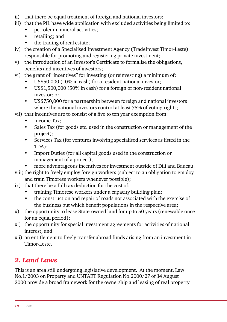- ii) that there be equal treatment of foreign and national investors;
- iii) that the PIL have wide application with excluded activities being limited to:
	- petroleum mineral activities;
	- retailing; and
	- the trading of real estate;
- iv) the creation of a Specialised Investment Agency (TradeInvest Timor-Leste) responsible for promoting and registering private investment;
- v) the introduction of an Investor's Certificate to formalise the obligations, benefits and incentives of investors;
- vi) the grant of "incentives" for investing (or reinvesting) a minimum of:
	- US\$50,000 (10% in cash) for a resident national investor;
	- US\$1,500,000 (50% in cash) for a foreign or non-resident national investor; or
	- US\$750,000 for a partnership between foreign and national investors where the national investors control at least 75% of voting rights;
- vii) that incentives are to consist of a five to ten year exemption from:
	- Income Tax;
	- Sales Tax (for goods etc. used in the construction or management of the project);
	- Services Tax (for ventures involving specialised services as listed in the TDA);
	- Import Duties (for all capital goods used in the construction or management of a project);
	- more advantageous incentives for investment outside of Dili and Baucau.
- viii) the right to freely employ foreign workers (subject to an obligation to employ and train Timorese workers whenever possible);
- ix) that there be a full tax deduction for the cost of:
	- training Timorese workers under a capacity building plan;
	- the construction and repair of roads not associated with the exercise of the business but which benefit populations in the respective area;
- x) the opportunity to lease State-owned land for up to 50 years (renewable once for an equal period);
- xi) the opportunity for special investment agreements for activities of national interest; and
- xii) an entitlement to freely transfer abroad funds arising from an investment in Timor-Leste.

# *2. Land Laws*

This is an area still undergoing legislative development. At the moment, Law No.1/2003 on Property and UNTAET Regulation No.2000/27 of 14 August 2000 provide a broad framework for the ownership and leasing of real property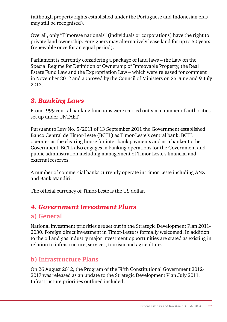(although property rights established under the Portuguese and Indonesian eras may still be recognised).

Overall, only "Timorese nationals" (individuals or corporations) have the right to private land ownership. Foreigners may alternatively lease land for up to 50 years (renewable once for an equal period).

Parliament is currently considering a package of land laws – the Law on the Special Regime for Definition of Ownership of Immovable Property, the Real Estate Fund Law and the Expropriation Law – which were released for comment in November 2012 and approved by the Council of Ministers on 25 June and 9 July 2013.

#### *3. Banking Laws*

From 1999 central banking functions were carried out via a number of authorities set up under UNTAET.

Pursuant to Law No. 5/2011 of 13 September 2011 the Government established Banco Central de Timor-Leste (BCTL) as Timor-Leste's central bank. BCTL operates as the clearing house for inter-bank payments and as a banker to the Government. BCTL also engages in banking operations for the Government and public administration including management of Timor-Leste's financial and external reserves.

A number of commercial banks currently operate in Timor-Leste including ANZ and Bank Mandiri.

The official currency of Timor-Leste is the US dollar.

# *4. Government Investment Plans*

#### **a) General**

National investment priorities are set out in the Strategic Development Plan 2011- 2030. Foreign direct investment in Timor-Leste is formally welcomed. In addition to the oil and gas industry major investment opportunities are stated as existing in relation to infrastructure, services, tourism and agriculture.

#### **b) Infrastructure Plans**

On 26 August 2012, the Program of the Fifth Constitutional Government 2012- 2017 was released as an update to the Strategic Development Plan July 2011. Infrastructure priorities outlined included: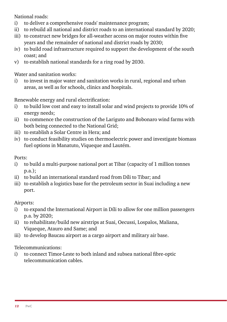National roads:

- i) to deliver a comprehensive roads' maintenance program;
- ii) to rebuild all national and district roads to an international standard by 2020;
- iii) to construct new bridges for all-weather access on major routes within five years and the remainder of national and district roads by 2030;
- iv) to build road infrastructure required to support the development of the south coast; and
- v) to establish national standards for a ring road by 2030.

Water and sanitation works:

i) to invest in major water and sanitation works in rural, regional and urban areas, as well as for schools, clinics and hospitals.

Renewable energy and rural electrification:

- i) to build low cost and easy to install solar and wind projects to provide 10% of energy needs;
- ii) to commence the construction of the Lariguto and Bobonaro wind farms with both being connected to the National Grid;
- iii) to establish a Solar Centre in Hera; and
- iv) to conduct feasibility studies on thermoelectric power and investigate biomass fuel options in Manatuto, Viqueque and Lautém.

Ports:

- i) to build a multi-purpose national port at Tibar (capacity of 1 million tonnes p.a.);
- ii) to build an international standard road from Díli to Tibar; and
- iii) to establish a logistics base for the petroleum sector in Suai including a new port.

Airports:

- i) to expand the International Airport in Díli to allow for one million passengers p.a. by 2020;
- ii) to rehabilitate/build new airstrips at Suai, Oecussi, Lospalos, Maliana, Viqueque, Atauro and Same; and
- iii) to develop Baucau airport as a cargo airport and military air base.

Telecommunications:

i) to connect Timor-Leste to both inland and subsea national fibre-optic telecommunication cables.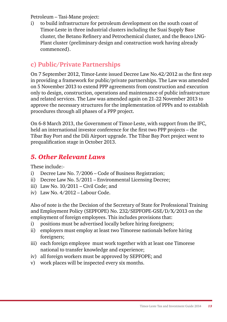Petroleum – Tasi-Mane project:

i) to build infrastructure for petroleum development on the south coast of Timor-Leste in three industrial clusters including the Suai Supply Base cluster, the Betano Refinery and Petrochemical cluster, and the Beaco LNG-Plant cluster (preliminary design and construction work having already commenced).

## **c) Public/Private Partnerships**

On 7 September 2012, Timor-Leste issued Decree Law No.42/2012 as the first step in providing a framework for public/private partnerships. The Law was amended on 5 November 2013 to extend PPP agreements from construction and execution only to design, construction, operations and maintenance of public infrastructure and related services. The Law was amended again on 21-22 November 2013 to approve the necessary structures for the implementation of PPPs and to establish procedures through all phases of a PPP project.

On 6-8 March 2013, the Government of Timor-Leste, with support from the IFC, held an international investor conference for the first two PPP projects – the Tibar Bay Port and the Dili Airport upgrade. The Tibar Bay Port project went to prequalification stage in October 2013.

#### *5. Other Relevant Laws*

These include:-

- i) Decree Law No. 7/2006 Code of Business Registration;
- ii) Decree Law No. 5/2011 Environmental Licensing Decree;
- iii) Law No. 10/2011 Civil Code; and
- iv) Law No. 4/2012 Labour Code.

Also of note is the the Decision of the Secretary of State for Professional Training and Employment Policy (SEPFOPE) No. 232/SEPFOPE-GSE/D/X/2013 on the employment of foreign employees. This includes provisions that:

- i) positions must be advertised locally before hiring foreigners;
- ii) employers must employ at least two Timorese nationals before hiring foreigners;
- iii) each foreign employee must work together with at least one Timorese national to transfer knowledge and experience;
- iv) all foreign workers must be approved by SEPFOPE; and
- v) work places will be inspected every six months.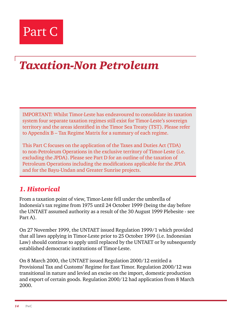

# *Taxation-Non Petroleum*

IMPORTANT: Whilst Timor-Leste has endeavoured to consolidate its taxation system four separate taxation regimes still exist for Timor-Leste's sovereign territory and the areas identified in the Timor Sea Treaty (TST). Please refer to Appendix B – Tax Regime Matrix for a summary of each regime.

This Part C focuses on the application of the Taxes and Duties Act (TDA) to non-Petroleum Operations in the exclusive territory of Timor-Leste (i.e. excluding the JPDA). Please see Part D for an outline of the taxation of Petroleum Operations including the modifications applicable for the JPDA and for the Bayu-Undan and Greater Sunrise projects.

#### *1. Historical*

From a taxation point of view, Timor-Leste fell under the umbrella of Indonesia's tax regime from 1975 until 24 October 1999 (being the day before the UNTAET assumed authority as a result of the 30 August 1999 Plebesite - see Part A).

On 27 November 1999, the UNTAET issued Regulation 1999/1 which provided that all laws applying in Timor-Leste prior to 25 October 1999 (i.e. Indonesian Law) should continue to apply until replaced by the UNTAET or by subsequently established democratic institutions of Timor-Leste.

On 8 March 2000, the UNTAET issued Regulation 2000/12 entitled a Provisional Tax and Customs' Regime for East Timor. Regulation 2000/12 was transitional in nature and levied an excise on the import, domestic production and export of certain goods. Regulation 2000/12 had application from 8 March 2000.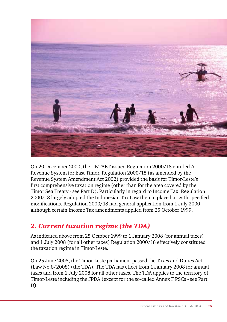

On 20 December 2000, the UNTAET issued Regulation 2000/18 entitled A Revenue System for East Timor. Regulation 2000/18 (as amended by the Revenue System Amendment Act 2002) provided the basis for Timor-Leste's first comprehensive taxation regime (other than for the area covered by the Timor Sea Treaty - see Part D). Particularly in regard to Income Tax, Regulation 2000/18 largely adopted the Indonesian Tax Law then in place but with specified modifications. Regulation 2000/18 had general application from 1 July 2000 although certain Income Tax amendments applied from 25 October 1999.

# *2. Current taxation regime (the TDA)*

As indicated above from 25 October 1999 to 1 January 2008 (for annual taxes) and 1 July 2008 (for all other taxes) Regulation 2000/18 effectively constituted the taxation regime in Timor-Leste.

On 25 June 2008, the Timor-Leste parliament passed the Taxes and Duties Act (Law No.8/2008) (the TDA). The TDA has effect from 1 January 2008 for annual taxes and from 1 July 2008 for all other taxes. The TDA applies to the territory of Timor-Leste including the JPDA (except for the so-called Annex F PSCs - see Part D).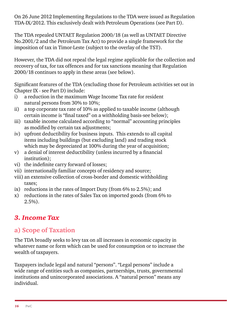On 26 June 2012 Implementing Regulations to the TDA were issued as Regulation TDA-IX/2012. This exclusively dealt with Petroleum Operations (see Part D).

The TDA repealed UNTAET Regulation 2000/18 (as well as UNTAET Directive No.2001/2 and the Petroleum Tax Act) to provide a single framework for the imposition of tax in Timor-Leste (subject to the overlay of the TST).

However, the TDA did not repeal the legal regime applicable for the collection and recovery of tax, for tax offences and for tax sanctions meaning that Regulation 2000/18 continues to apply in these areas (see below).

Significant features of the TDA (excluding those for Petroleum activities set out in Chapter IX - see Part D) include:

- i) a reduction in the maximum Wage Income Tax rate for resident natural persons from 30% to 10%;
- ii) a top corporate tax rate of 10% as applied to taxable income (although certain income is "final taxed" on a withholding basis-see below);
- iii) taxable income calculated according to "normal" accounting principles as modified by certain tax adjustments;
- iv) upfront deductibility for business inputs. This extends to all capital items including buildings (but excluding land) and trading stock which may be depreciated at 100% during the year of acquisition;
- v) a denial of interest deductibility (unless incurred by a financial institution);
- vi) the indefinite carry forward of losses;
- vii) internationally familiar concepts of residency and source;
- viii) an extensive collection of cross-border and domestic withholding taxes;
- ix) reductions in the rates of Import Duty (from 6% to 2.5%); and
- x) reductions in the rates of Sales Tax on imported goods (from 6% to 2.5%).

#### *3. Income Tax*

#### **a) Scope of Taxation**

The TDA broadly seeks to levy tax on all increases in economic capacity in whatever name or form which can be used for consumption or to increase the wealth of taxpayers.

Taxpayers include legal and natural "persons". "Legal persons" include a wide range of entities such as companies, partnerships, trusts, governmental institutions and unincorporated associations. A "natural person" means any individual.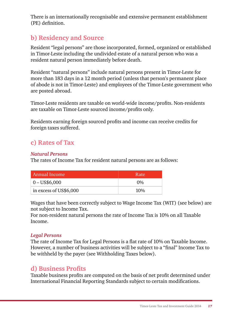There is an internationally recognisable and extensive permanent establishment (PE) definition.

#### **b) Residency and Source**

Resident "legal persons" are those incorporated, formed, organized or established in Timor-Leste including the undivided estate of a natural person who was a resident natural person immediately before death.

Resident "natural persons" include natural persons present in Timor-Leste for more than 183 days in a 12 month period (unless that person's permanent place of abode is not in Timor-Leste) and employees of the Timor-Leste government who are posted abroad.

Timor-Leste residents are taxable on world-wide income/profits. Non-residents are taxable on Timor-Leste sourced income/profits only.

Residents earning foreign sourced profits and income can receive credits for foreign taxes suffered.

#### **c) Rates of Tax**

#### *Natural Persons*

The rates of Income Tax for resident natural persons are as follows:

| Annual Income          | Ratel |
|------------------------|-------|
| $0 - US$6,000$         | $0\%$ |
| in excess of US\$6,000 | 10%   |

Wages that have been correctly subject to Wage Income Tax (WIT) (see below) are not subject to Income Tax.

For non-resident natural persons the rate of Income Tax is 10% on all Taxable Income.

#### *Legal Persons*

The rate of Income Tax for Legal Persons is a flat rate of 10% on Taxable Income. However, a number of business activities will be subject to a "final" Income Tax to be withheld by the payer (see Withholding Taxes below).

#### **d) Business Profits**

Taxable business profits are computed on the basis of net profit determined under International Financial Reporting Standards subject to certain modifications.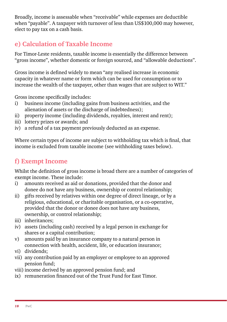Broadly, income is assessable when "receivable" while expenses are deductible when "payable". A taxpayer with turnover of less than US\$100,000 may however, elect to pay tax on a cash basis.

# **e) Calculation of Taxable Income**

For Timor-Leste residents, taxable income is essentially the difference between "gross income", whether domestic or foreign sourced, and "allowable deductions".

Gross income is defined widely to mean "any realised increase in economic capacity in whatever name or form which can be used for consumption or to increase the wealth of the taxpayer, other than wages that are subject to WIT."

Gross income specifically includes:

- i) business income (including gains from business activities, and the alienation of assets or the discharge of indebtedness);
- ii) property income (including dividends, royalties, interest and rent);
- iii) lottery prizes or awards; and
- iv) a refund of a tax payment previously deducted as an expense.

Where certain types of income are subject to withholding tax which is final, that income is excluded from taxable income (see withholding taxes below).

# **f) Exempt Income**

Whilst the definition of gross income is broad there are a number of categories of exempt income. These include:

- i) amounts received as aid or donations, provided that the donor and donee do not have any business, ownership or control relationship;
- ii) gifts received by relatives within one degree of direct lineage, or by a religious, educational, or charitable organisation, or a co-operative, provided that the donor or donee does not have any business, ownership, or control relationship;
- iii) inheritances;
- iv) assets (including cash) received by a legal person in exchange for shares or a capital contribution;
- v) amounts paid by an insurance company to a natural person in connection with health, accident, life, or education insurance;
- vi) dividends;
- vii) any contribution paid by an employer or employee to an approved pension fund;
- viii) income derived by an approved pension fund; and
- ix) remuneration financed out of the Trust Fund for East Timor.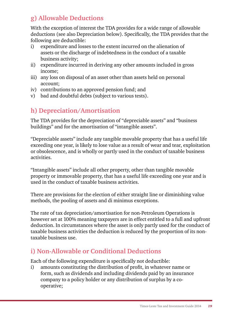# **g) Allowable Deductions**

With the exception of interest the TDA provides for a wide range of allowable deductions (see also Depreciation below). Specifically, the TDA provides that the following are deductible:

- i) expenditure and losses to the extent incurred on the alienation of assets or the discharge of indebtedness in the conduct of a taxable business activity;
- ii) expenditure incurred in deriving any other amounts included in gross income;
- iii) any loss on disposal of an asset other than assets held on personal account;
- iv) contributions to an approved pension fund; and
- v) bad and doubtful debts (subject to various tests).

# **h) Depreciation/Amortisation**

The TDA provides for the depreciation of "depreciable assets" and "business buildings" and for the amortisation of "intangible assets".

"Depreciable assets" include any tangible movable property that has a useful life exceeding one year, is likely to lose value as a result of wear and tear, exploitation or obsolescence, and is wholly or partly used in the conduct of taxable business activities.

"Intangible assets" include all other property, other than tangible movable property or immovable property, that has a useful life exceeding one year and is used in the conduct of taxable business activities.

There are provisions for the election of either straight line or diminishing value methods, the pooling of assets and di minimus exceptions.

The rate of tax depreciation/amortisation for non-Petroleum Operations is however set at 100% meaning taxpayers are in effect entitled to a full and upfront deduction. In circumstances where the asset is only partly used for the conduct of taxable business activities the deduction is reduced by the proportion of its nontaxable business use.

# **i) Non-Allowable or Conditional Deductions**

Each of the following expenditure is specifically not deductible:

i) amounts constituting the distribution of profit, in whatever name or form, such as dividends and including dividends paid by an insurance company to a policy holder or any distribution of surplus by a cooperative;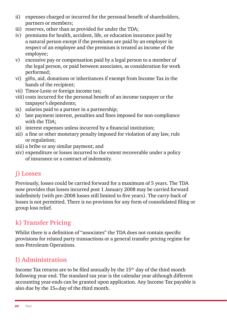- ii) expenses charged or incurred for the personal benefit of shareholders, partners or members;
- iii) reserves, other than as provided for under the TDA;
- iv) premiums for health, accident, life, or education insurance paid by a natural person except if the premiums are paid by an employer in respect of an employee and the premium is treated as income of the employee;
- v) excessive pay or compensation paid by a legal person to a member of the legal person, or paid between associates, as consideration for work performed;
- vi) gifts, aid, donations or inheritances if exempt from Income Tax in the hands of the recipient;
- vii) Timor-Leste or foreign income tax;
- viii) costs incurred for the personal benefit of an income taxpayer or the taxpayer's dependents;
- ix) salaries paid to a partner in a partnership;
- x) late payment interest, penalties and fines imposed for non-compliance with the TDA;
- xi) interest expenses unless incurred by a financial institution;
- xii) a fine or other monetary penalty imposed for violation of any law, rule or regulation;
- xiii) a bribe or any similar payment; and
- xiv) expenditure or losses incurred to the extent recoverable under a policy of insurance or a contract of indemnity.

# **j) Losses**

Previously, losses could be carried forward for a maximum of 5 years. The TDA now provides that losses incurred post 1 January 2008 may be carried forward indefinitely (with pre-2008 losses still limited to five years). The carry-back of losses is not permitted. There is no provision for any form of consolidated filing or group loss relief.

# **k) Transfer Pricing**

Whilst there is a definition of "associates" the TDA does not contain specific provisions for related party transactions or a general transfer pricing regime for non-Petroleum Operations.

# **l) Administration**

Income Tax returns are to be filed annually by the  $15<sup>th</sup>$  day of the third month following year end. The standard tax year is the calendar year although different accounting year-ends can be granted upon application. Any Income Tax payable is also due by the 15th day of the third month.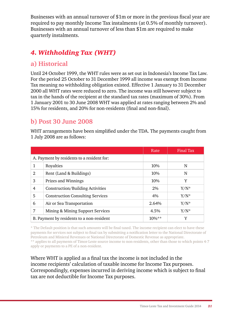Businesses with an annual turnover of \$1m or more in the previous fiscal year are required to pay monthly Income Tax instalments (at 0.5% of monthly turnover). Businesses with an annual turnover of less than \$1m are required to make quarterly instalments.

## *4. Withholding Tax (WHT)*

#### **a) Historical**

Until 24 October 1999, the WHT rules were as set out in Indonesia's Income Tax Law. For the period 25 October to 31 December 1999 all income was exempt from Income Tax meaning no withholding obligation existed. Effective 1 January to 31 December 2000 all WHT rates were reduced to zero. The income was still however subject to tax in the hands of the recipient at the standard tax rates (maximum of 30%). From 1 January 2001 to 30 June 2008 WHT was applied at rates ranging between 2% and 15% for residents, and 20% for non-residents (final and non-final).

#### **b) Post 30 June 2008**

WHT arrangements have been simplified under the TDA. The payments caught from 1 July 2008 are as follows:

|              |                                            | Rate     | Final Tax |
|--------------|--------------------------------------------|----------|-----------|
|              | A. Payment by residents to a resident for: |          |           |
| 1            | Royalties                                  | 10%      | N         |
| $\mathbf{2}$ | Rent (Land & Buildings)                    | 10%      | N         |
| 3            | Prizes and Winnings                        | 10%      | Y         |
| 4            | Construction/Building Activities           | $2\%$    | $Y/N^*$   |
| 5            | <b>Construction Consulting Services</b>    | 4%       | $Y/N^*$   |
| 6            | Air or Sea Transportation                  | 2.64%    | $Y/N^*$   |
| 7            | Mining & Mining Support Services           | $4.5\%$  | $Y/N^*$   |
|              | B. Payment by residents to a non-resident  | $10\%**$ | Y         |

\* The Default position is that such amounts will be final taxed. The income recipient can elect to have these payments for services not subject to final tax by submitting a notification letter to the National Directorate of Petroleum and Minieral Revenues or National Directorate of Domestic Revenue as appropriate. \*\* applies to all payments of Timor-Leste source income to non-residents, other than those to which points 4-7 apply or payments to a PE of a non-resident.

Where WHT is applied as a final tax the income is not included in the income recipients' calculation of taxable income for Income Tax purposes. Correspondingly, expenses incurred in deriving income which is subject to final tax are not deductible for Income Tax purposes.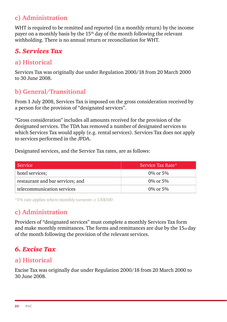## **c) Administration**

WHT is required to be remitted and reported (in a monthly return) by the income payer on a monthly basis by the  $15<sup>th</sup>$  day of the month following the relevant withholding. There is no annual return or reconciliation for WHT.

# *5. Services Tax*

#### **a) Historical**

Services Tax was originally due under Regulation 2000/18 from 20 March 2000 to 30 June 2008.

#### **b) General/Transitional**

From 1 July 2008, Services Tax is imposed on the gross consideration received by a person for the provision of "designated services".

"Gross consideration" includes all amounts received for the provision of the designated services. The TDA has removed a number of designated services to which Services Tax would apply (e.g. rental services). Services Tax does not apply to services performed in the JPDA.

Designated services, and the Service Tax rates, are as follows:

| Service                          | Service Tax Rate* |
|----------------------------------|-------------------|
| hotel services;                  | 0\% or 5\%        |
| restaurant and bar services; and | 0\% or 5\%        |
| telecommunication services       | 0\% or 5\%        |

\*5% rate applies where monthly turnover ≥ US\$500

# **c) Administration**

Providers of "designated services" must complete a monthly Services Tax form and make monthly remittances. The forms and remittances are due by the  $15<sub>th</sub>$  day of the month following the provision of the relevant services.

#### *6. Excise Tax*

#### **a) Historical**

Excise Tax was originally due under Regulation 2000/18 from 20 March 2000 to 30 June 2008.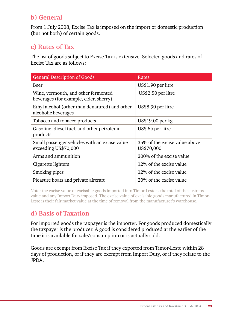## **b) General**

From 1 July 2008, Excise Tax is imposed on the import or domestic production (but not both) of certain goods.

#### **c) Rates of Tax**

The list of goods subject to Excise Tax is extensive. Selected goods and rates of Excise Tax are as follows:

| <b>General Description of Goods</b>                                           | Rates                                       |
|-------------------------------------------------------------------------------|---------------------------------------------|
| Beer                                                                          | US\$1.90 per litre                          |
| Wine, vermouth, and other fermented<br>beverages (for example, cider, sherry) | US\$2.50 per litre                          |
| Ethyl alcohol (other than denatured) and other<br>alcoholic beverages         | US\$8.90 per litre                          |
| Tobacco and tobacco products                                                  | US\$19.00 per kg                            |
| Gasoline, diesel fuel, and other petroleum<br>products                        | US\$ $6¢$ per litre                         |
| Small passenger vehicles with an excise value<br>exceeding US\$70,000         | 35% of the excise value above<br>US\$70,000 |
| Arms and ammunition                                                           | 200% of the excise value                    |
| Cigarette lighters                                                            | 12% of the excise value                     |
| Smoking pipes                                                                 | 12% of the excise value                     |
| Pleasure boats and private aircraft                                           | 20% of the excise value                     |

Note: the excise value of excisable goods imported into Timor-Leste is the total of the customs value and any Import Duty imposed. The excise value of excisable goods manufactured in Timor-Leste is their fair market value at the time of removal from the manufacturer's warehouse.

# **d) Basis of Taxation**

For imported goods the taxpayer is the importer. For goods produced domestically the taxpayer is the producer. A good is considered produced at the earlier of the time it is available for sale/consumption or is actually sold.

Goods are exempt from Excise Tax if they exported from Timor-Leste within 28 days of production, or if they are exempt from Import Duty, or if they relate to the JPDA.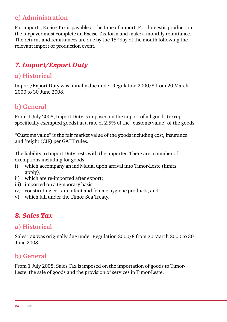#### **e) Administration**

For imports, Excise Tax is payable at the time of import. For domestic production the taxpayer must complete an Excise Tax form and make a monthly remittance. The returns and remittances are due by the  $15<sup>th</sup>$  day of the month following the relevant import or production event.

# *7. Import/Export Duty*

#### **a) Historical**

Import/Export Duty was initially due under Regulation 2000/8 from 20 March 2000 to 30 June 2008.

#### **b) General**

From 1 July 2008, Import Duty is imposed on the import of all goods (except specifically exempted goods) at a rate of 2.5% of the "customs value" of the goods.

"Customs value" is the fair market value of the goods including cost, insurance and freight (CIF) per GATT rules.

The liability to Import Duty rests with the importer. There are a number of exemptions including for goods:

- i) which accompany an individual upon arrival into Timor-Leste (limits apply);
- ii) which are re-imported after export;
- iii) imported on a temporary basis;
- iv) constituting certain infant and female hygiene products; and
- v) which fall under the Timor Sea Treaty.

#### *8. Sales Tax*

#### **a) Historical**

Sales Tax was originally due under Regulation 2000/8 from 20 March 2000 to 30 June 2008.

#### **b) General**

From 1 July 2008, Sales Tax is imposed on the importation of goods to Timor-Leste, the sale of goods and the provision of services in Timor-Leste.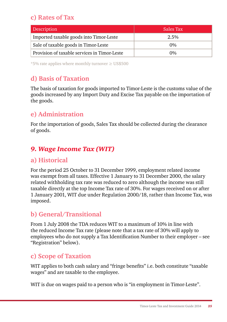# **c) Rates of Tax**

| <b>Description</b>                           | Sales Tax |
|----------------------------------------------|-----------|
| Imported taxable goods into Timor-Leste      | 2.5%      |
| Sale of taxable goods in Timor-Leste         | $0\%$     |
| Provision of taxable services in Timor-Leste | $0\%$     |

\*5% rate applies where monthly turnover ≥ US\$500

# **d) Basis of Taxation**

The basis of taxation for goods imported to Timor-Leste is the customs value of the goods increased by any Import Duty and Excise Tax payable on the importation of the goods.

## **e) Administration**

For the importation of goods, Sales Tax should be collected during the clearance of goods.

# *9. Wage Income Tax (WIT)*

#### **a) Historical**

For the period 25 October to 31 December 1999, employment related income was exempt from all taxes. Effective 1 January to 31 December 2000, the salary related withholding tax rate was reduced to zero although the income was still taxable directly at the top Income Tax rate of 30%. For wages received on or after 1 January 2001, WIT due under Regulation 2000/18, rather than Income Tax, was imposed.

#### **b) General/Transitional**

From 1 July 2008 the TDA reduces WIT to a maximum of 10% in line with the reduced Income Tax rate (please note that a tax rate of 30% will apply to employees who do not supply a Tax Identification Number to their employer – see "Registration" below).

#### **c) Scope of Taxation**

WIT applies to both cash salary and "fringe benefits" i.e. both constitute "taxable wages" and are taxable to the employee.

WIT is due on wages paid to a person who is "in employment in Timor-Leste".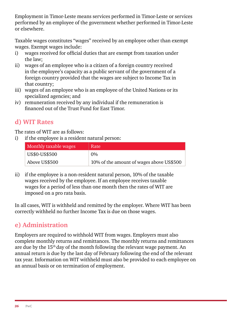Employment in Timor-Leste means services performed in Timor-Leste or services performed by an employee of the government whether performed in Timor-Leste or elsewhere.

Taxable wages constitutes "wages" received by an employee other than exempt wages. Exempt wages include:

- i) wages received for official duties that are exempt from taxation under the law;
- ii) wages of an employee who is a citizen of a foreign country received in the employee's capacity as a public servant of the government of a foreign country provided that the wages are subject to Income Tax in that country;
- iii) wages of an employee who is an employee of the United Nations or its specialized agencies; and
- iv) remuneration received by any individual if the remuneration is financed out of the Trust Fund for East Timor.

## **d) WIT Rates**

The rates of WIT are as follows:

i) if the employee is a resident natural person:

| Monthly taxable wages | Rate                                     |
|-----------------------|------------------------------------------|
| US\$0-US\$500         | $0\%$                                    |
| Above US\$500         | 10% of the amount of wages above US\$500 |

ii) if the employee is a non-resident natural person, 10% of the taxable wages received by the employee. If an employee receives taxable wages for a period of less than one month then the rates of WIT are imposed on a pro rata basis.

In all cases, WIT is withheld and remitted by the employer. Where WIT has been correctly withheld no further Income Tax is due on those wages.

# **e) Administration**

Employers are required to withhold WIT from wages. Employers must also complete monthly returns and remittances. The monthly returns and remittances are due by the 15<sup>th</sup> day of the month following the relevant wage payment. An annual return is due by the last day of February following the end of the relevant tax year. Information on WIT withheld must also be provided to each employee on an annual basis or on termination of employment.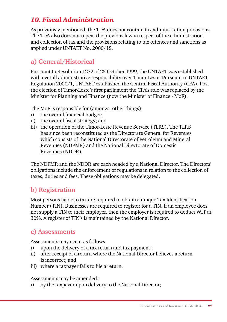## *10. Fiscal Administration*

As previously mentioned, the TDA does not contain tax administration provisions. The TDA also does not repeal the previous law in respect of the administration and collection of tax and the provisions relating to tax offences and sanctions as applied under UNTAET No. 2000/18.

#### **a) General/Historical**

Pursuant to Resolution 1272 of 25 October 1999, the UNTAET was established with overall administrative responsibility over Timor-Leste. Pursuant to UNTAET Regulation 2000/1, UNTAET established the Central Fiscal Authority (CFA). Post the election of Timor-Leste's first parliament the CFA's role was replaced by the Minister for Planning and Finance (now the Minister of Finance - MoF).

The MoF is responsible for (amongst other things):

- i) the overall financial budget;
- ii) the overall fiscal strategy; and
- iii) the operation of the Timor-Leste Revenue Service (TLRS). The TLRS has since been reconstituted as the Directorate General for Revenues which consists of the National Directorate of Petroleum and Mineral Revenues (NDPMR) and the National Directorate of Domestic Revenues (NDDR).

The NDPMR and the NDDR are each headed by a National Director. The Directors' obligations include the enforcement of regulations in relation to the collection of taxes, duties and fees. These obligations may be delegated.

#### **b) Registration**

Most persons liable to tax are required to obtain a unique Tax Identification Number (TIN). Businesses are required to register for a TIN. If an employee does not supply a TIN to their employer, then the employer is required to deduct WIT at 30%. A register of TIN's is maintained by the National Director.

#### **c) Assessments**

Assessments may occur as follows:

- i) upon the delivery of a tax return and tax payment;
- ii) after receipt of a return where the National Director believes a return is incorrect; and
- iii) where a taxpayer fails to file a return.

Assessments may be amended:

i) by the taxpayer upon delivery to the National Director;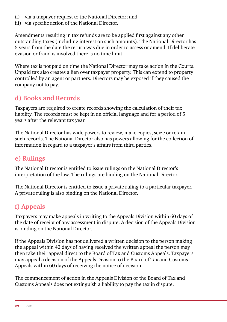- ii) via a taxpayer request to the National Director; and
- iii) via specific action of the National Director.

Amendments resulting in tax refunds are to be applied first against any other outstanding taxes (including interest on such amounts). The National Director has 5 years from the date the return was due in order to assess or amend. If deliberate evasion or fraud is involved there is no time limit.

Where tax is not paid on time the National Director may take action in the Courts. Unpaid tax also creates a lien over taxpayer property. This can extend to property controlled by an agent or partners. Directors may be exposed if they caused the company not to pay.

# **d) Books and Records**

Taxpayers are required to create records showing the calculation of their tax liability. The records must be kept in an official language and for a period of 5 years after the relevant tax year.

The National Director has wide powers to review, make copies, seize or retain such records. The National Director also has powers allowing for the collection of information in regard to a taxpayer's affairs from third parties.

## **e) Rulings**

The National Director is entitled to issue rulings on the National Director's interpretation of the law. The rulings are binding on the National Director.

The National Director is entitled to issue a private ruling to a particular taxpayer. A private ruling is also binding on the National Director.

# **f) Appeals**

Taxpayers may make appeals in writing to the Appeals Division within 60 days of the date of receipt of any assessment in dispute. A decision of the Appeals Division is binding on the National Director.

If the Appeals Division has not delivered a written decision to the person making the appeal within 42 days of having received the written appeal the person may then take their appeal direct to the Board of Tax and Customs Appeals. Taxpayers may appeal a decision of the Appeals Division to the Board of Tax and Customs Appeals within 60 days of receiving the notice of decision.

The commencement of action in the Appeals Division or the Board of Tax and Customs Appeals does not extinguish a liability to pay the tax in dispute.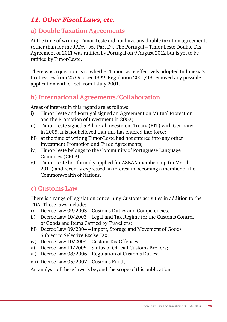#### *11. Other Fiscal Laws, etc.*

#### **a) Double Taxation Agreements**

At the time of writing, Timor-Leste did not have any double taxation agreements (other than for the JPDA - see Part D). The Portugal **–** Timor-Leste Double Tax Agreement of 2011 was ratified by Portugal on 9 August 2012 but is yet to be ratified by Timor-Leste.

There was a question as to whether Timor-Leste effectively adopted Indonesia's tax treaties from 25 October 1999. Regulation 2000/18 removed any possible application with effect from 1 July 2001.

#### **b) International Agreements/Collaboration**

Areas of interest in this regard are as follows:

- i) Timor-Leste and Portugal signed an Agreement on Mutual Protection and the Promotion of Investment in 2002;
- ii) Timor-Leste signed a Bilateral Investment Treaty (BIT) with Germany in 2005. It is not believed that this has entered into force;
- iii) at the time of writing Timor-Leste had not entered into any other Investment Promotion and Trade Agreements;
- iv) Timor-Leste belongs to the Community of Portuguese Language Countries (CPLP);
- v) Timor-Leste has formally applied for ASEAN membership (in March 2011) and recently expressed an interest in becoming a member of the Commonwealth of Nations.

#### **c) Customs Law**

There is a range of legislation concerning Customs activities in addition to the TDA. These laws include:

- i) Decree Law 09/2003 Customs Duties and Competencies.
- ii) Decree Law 10/2003 Legal and Tax Regime for the Customs Control of Goods and Items Carried by Travellers;
- iii) Decree Law 09/2004 Import, Storage and Movement of Goods Subject to Selective Excise Tax;
- iv) Decree Law 10/2004 Custom Tax Offences;
- v) Decree Law 11/2005 Status of Official Customs Brokers;
- vi) Decree Law 08/2006 Regulation of Customs Duties;
- vii) Decree Law 05/2007 Customs Fund;

An analysis of these laws is beyond the scope of this publication.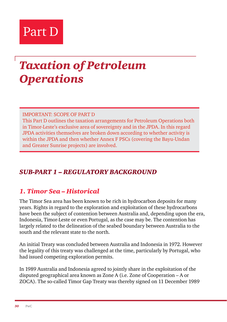# Part D

# *Taxation of Petroleum Operations*

IMPORTANT: SCOPE OF PART D

This Part D outlines the taxation arrangements for Petroleum Operations both in Timor-Leste's exclusive area of sovereignty and in the JPDA. In this regard JPDA activities themselves are broken down according to whether activity is within the JPDA and then whether Annex F PSCs (covering the Bayu-Undan and Greater Sunrise projects) are involved.

#### *SUB-PART 1 – REGULATORY BACKGROUND*

#### *1. Timor Sea – Historical*

The Timor Sea area has been known to be rich in hydrocarbon deposits for many years. Rights in regard to the exploration and exploitation of these hydrocarbons have been the subject of contention between Australia and, depending upon the era, Indonesia, Timor-Leste or even Portugal, as the case may be. The contention has largely related to the delineation of the seabed boundary between Australia to the south and the relevant state to the north.

An initial Treaty was concluded between Australia and Indonesia in 1972. However the legality of this treaty was challenged at the time, particularly by Portugal, who had issued competing exploration permits.

In 1989 Australia and Indonesia agreed to jointly share in the exploitation of the disputed geographical area known as Zone A (i.e. Zone of Cooperation – A or ZOCA). The so-called Timor Gap Treaty was thereby signed on 11 December 1989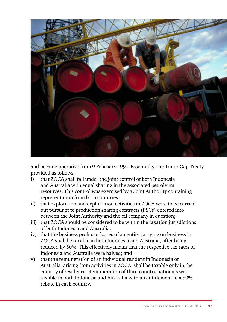

and became operative from 9 February 1991. Essentially, the Timor Gap Treaty provided as follows:

- i) that ZOCA shall fall under the joint control of both Indonesia and Australia with equal sharing in the associated petroleum resources. This control was exercised by a Joint Authority containing representation from both countries;
- ii) that exploration and exploitation activities in ZOCA were to be carried out pursuant to production sharing contracts (PSCs) entered into between the Joint Authority and the oil company in question;
- iii) that ZOCA should be considered to be within the taxation jurisdictions of both Indonesia and Australia;
- iv) that the business profits or losses of an entity carrying on business in ZOCA shall be taxable in both Indonesia and Australia, after being reduced by 50%. This effectively meant that the respective tax rates of Indonesia and Australia were halved; and
- v) that the remuneration of an individual resident in Indonesia or Australia, arising from activities in ZOCA, shall be taxable only in the country of residence. Remuneration of third country nationals was taxable in both Indonesia and Australia with an entitlement to a 50% rebate in each country.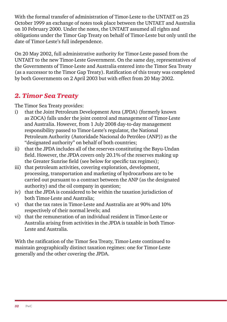With the formal transfer of administration of Timor-Leste to the UNTAET on 25 October 1999 an exchange of notes took place between the UNTAET and Australia on 10 February 2000. Under the notes, the UNTAET assumed all rights and obligations under the Timor Gap Treaty on behalf of Timor-Leste but only until the date of Timor-Leste's full independence.

On 20 May 2002, full administrative authority for Timor-Leste passed from the UNTAET to the new Timor-Leste Government. On the same day, representatives of the Governments of Timor-Leste and Australia entered into the Timor Sea Treaty (as a successor to the Timor Gap Treaty). Ratification of this treaty was completed by both Governments on 2 April 2003 but with effect from 20 May 2002.

#### *2. Timor Sea Treaty*

The Timor Sea Treaty provides:

- i) that the Joint Petroleum Development Area (JPDA) (formerly known as ZOCA) falls under the joint control and management of Timor-Leste and Australia. However, from 1 July 2008 day-to-day management responsibility passed to Timor-Leste's regulator, the National Petroleum Authority (Autoridade Nacional do Petróleo (ANP)) as the "designated authority" on behalf of both countries;
- ii) that the JPDA includes all of the reserves constituting the Bayu-Undan field. However, the JPDA covers only 20.1% of the reserves making up the Greater Sunrise field (see below for specific tax regimes);
- iii) that petroleum activities, covering exploration, development, processing, transportation and marketing of hydrocarbons are to be carried out pursuant to a contract between the ANP (as the designated authority) and the oil company in question;
- iv) that the JPDA is considered to be within the taxation jurisdiction of both Timor-Leste and Australia;
- v) that the tax rates in Timor-Leste and Australia are at 90% and 10% respectively of their normal levels; and
- vi) that the remuneration of an individual resident in Timor-Leste or Australia arising from activities in the JPDA is taxable in both Timor-Leste and Australia.

With the ratification of the Timor Sea Treaty, Timor-Leste continued to maintain geographically distinct taxation regimes: one for Timor-Leste generally and the other covering the JPDA.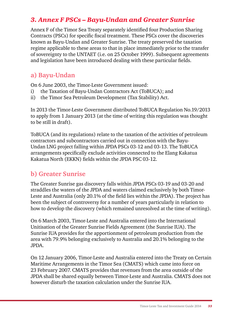#### *3. Annex F PSCs – Bayu-Undan and Greater Sunrise*

Annex F of the Timor Sea Treaty separately identified four Production Sharing Contracts (PSCs) for specific fiscal treatment. These PSCs cover the discoveries known as Bayu-Undan and Greater Sunrise. The treaty preserved the taxation regime applicable to these areas to that in place immediately prior to the transfer of sovereignty to the UNTAET (i.e. on 25 October 1999). Subsequent agreements and legislation have been introduced dealing with these particular fields.

#### **a) Bayu-Undan**

On 6 June 2003, the Timor-Leste Government issued:

- i) the Taxation of Bayu-Undan Contractors Act (ToBUCA); and
- ii) the Timor Sea Petroleum Development (Tax Stability) Act.

In 2013 the Timor-Leste Government distributed ToBUCA Regulation No.19/2013 to apply from 1 January 2013 (at the time of writing this regulation was thought to be still in draft).

ToBUCA (and its regulations) relate to the taxation of the activities of petroleum contractors and subcontractors carried out in connection with the Bayu-Undan LNG project falling within JPDA PSCs 03-12 and 03-13. The ToBUCA arrangements specifically exclude activities connected to the Elang Kakatua Kakatua North (EKKN) fields within the JPDA PSC 03-12.

#### **b) Greater Sunrise**

The Greater Sunrise gas discovery falls within JPDA PSCs 03-19 and 03-20 and straddles the waters of the JPDA and waters claimed exclusively by both Timor-Leste and Australia (only 20.1% of the field lies within the JPDA). The project has been the subject of controversy for a number of years particularly in relation to how to develop the discovery (which remained unresolved at the time of writing).

On 6 March 2003, Timor-Leste and Australia entered into the International Unitisation of the Greater Sunrise Fields Agreement (the Sunrise IUA). The Sunrise IUA provides for the apportionment of petroleum production from the area with 79.9% belonging exclusively to Australia and 20.1% belonging to the JPDA.

On 12 January 2006, Timor-Leste and Australia entered into the Treaty on Certain Maritime Arrangements in the Timor Sea (CMATS) which came into force on 23 February 2007. CMATS provides that revenues from the area outside of the JPDA shall be shared equally between Timor-Leste and Australia. CMATS does not however disturb the taxation calculation under the Sunrise IUA.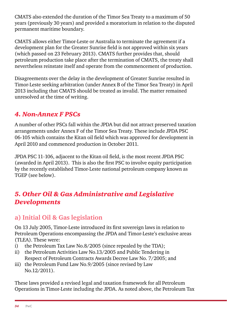CMATS also extended the duration of the Timor Sea Treaty to a maximum of 50 years (previously 30 years) and provided a moratorium in relation to the disputed permanent maritime boundary.

CMATS allows either Timor-Leste or Australia to terminate the agreement if a development plan for the Greater Sunrise field is not approved within six years (which passed on 23 February 2013). CMATS further provides that, should petroleum production take place after the termination of CMATS, the treaty shall nevertheless reinstate itself and operate from the commencement of production.

Disagreements over the delay in the development of Greater Sunrise resulted in Timor-Leste seeking arbitration (under Annex B of the Timor Sea Treaty) in April 2013 including that CMATS should be treated as invalid. The matter remained unresolved at the time of writing.

## *4. Non-Annex F PSCs*

A number of other PSCs fall within the JPDA but did not attract preserved taxation arrangements under Annex F of the Timor Sea Treaty. These include JPDA PSC 06-105 which contains the Kitan oil field which was approved for development in April 2010 and commenced production in October 2011.

JPDA PSC 11-106, adjacent to the Kitan oil field, is the most recent JPDA PSC (awarded in April 2013). This is also the first PSC to involve equity participation by the recently established Timor-Leste national petroleum company known as TGEP (see below).

#### *5. Other Oil & Gas Administrative and Legislative Developments*

#### **a) Initial Oil & Gas legislation**

On 13 July 2005, Timor-Leste introduced its first sovereign laws in relation to Petroleum Operations encompassing the JPDA and Timor-Leste's exclusive areas (TLEA). These were:

- i) the Petroleum Tax Law No.8/2005 (since repealed by the TDA);
- ii) the Petroleum Activities Law No.13/2005 and Public Tendering in Respect of Petroleum Contracts Awards Decree Law No. 7/2005; and
- iii) the Petroleum Fund Law No.9/2005 (since revised by Law No.12/2011).

These laws provided a revised legal and taxation framework for all Petroleum Operations in Timor-Leste including the JPDA. As noted above, the Petroleum Tax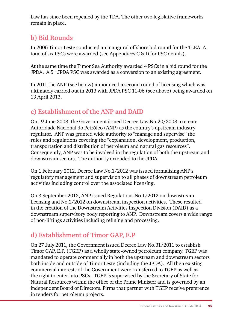Law has since been repealed by the TDA. The other two legislative frameworks remain in place.

# **b) Bid Rounds**

In 2006 Timor-Leste conducted an inaugural offshore bid round for the TLEA. A total of six PSCs were awarded (see Appendices C & D for PSC details).

At the same time the Timor Sea Authority awarded 4 PSCs in a bid round for the JPDA. A 5<sup>th</sup> JPDA PSC was awarded as a conversion to an existing agreement.

In 2011 the ANP (see below) announced a second round of licensing which was ultimately carried out in 2013 with JPDA PSC 11-06 (see above) being awarded on 13 April 2013.

# **c) Establishment of the ANP and DAID**

On 19 June 2008, the Government issued Decree Law No.20/2008 to create Autoridade Nacional do Petróleo (ANP) as the country's upstream industry regulator. ANP was granted wide authority to "manage and supervise" the rules and regulations covering the "explanation, development, production, transportation and distribution of petroleum and natural gas resources". Consequently, ANP was to be involved in the regulation of both the upstream and downstream sectors. The authority extended to the JPDA.

On 1 February 2012, Decree Law No.1/2012 was issued formalising ANP's regulatory management and supervision to all phases of downstream petroleum activities including control over the associated licensing.

On 3 September 2012, ANP issued Regulations No.1/2012 on downstream licensing and No.2/2012 on downstream inspection activities. These resulted in the creation of the Downstream Activities Inspection Division (DAID) as a downstream supervisory body reporting to ANP. Downstream covers a wide range of non-liftings activities including refining and processing.

# **d) Establishment of Timor GAP, E.P**

On 27 July 2011, the Government issued Decree Law No.31/2011 to establish Timor GAP, E.P. (TGEP) as a wholly state-owned petroleum company. TGEP was mandated to operate commercially in both the upstream and downstream sectors both inside and outside of Timor-Leste (including the JPDA). All then existing commercial interests of the Government were transferred to TGEP as well as the right to enter into PSCs. TGEP is supervised by the Secretary of State for Natural Resources within the office of the Prime Minister and is governed by an independent Board of Directors. Firms that partner with TGEP receive preference in tenders for petroleum projects.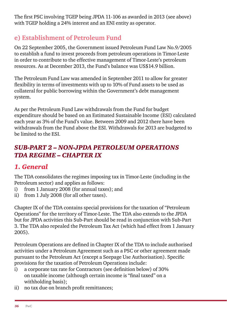The first PSC involving TGEP being JPDA 11-106 as awarded in 2013 (see above) with TGEP holding a 24% interest and an ENI entity as operator.

# **e) Establishment of Petroleum Fund**

On 22 September 2005, the Government issued Petroleum Fund Law No.9/2005 to establish a fund to invest proceeds from petroleum operations in Timor-Leste in order to contribute to the effective management of Timor-Leste's petroleum resources. As at December 2013, the Fund's balance was US\$14.9 billion.

The Petroleum Fund Law was amended in September 2011 to allow for greater flexibility in terms of investments with up to 10% of Fund assets to be used as collateral for public borrowing within the Government's debt management system.

As per the Petroleum Fund Law withdrawals from the Fund for budget expenditure should be based on an Estimated Sustainable Income (ESI) calculated each year as 3% of the Fund's value. Between 2009 and 2012 there have been withdrawals from the Fund above the ESI. Withdrawals for 2013 are budgeted to be limited to the ESI.

## *SUB-PART 2 – NON-JPDA PETROLEUM OPERATIONS TDA REGIME – CHAPTER IX*

# *1. General*

The TDA consolidates the regimes imposing tax in Timor-Leste (including in the Petroleum sector) and applies as follows:

- i) from 1 January 2008 (for annual taxes); and
- ii) from 1 July 2008 (for all other taxes).

Chapter IX of the TDA contains special provisions for the taxation of "Petroleum Operations" for the territory of Timor-Leste. The TDA also extends to the JPDA but for JPDA activities this Sub-Part should be read in conjunction with Sub-Part 3. The TDA also repealed the Petroleum Tax Act (which had effect from 1 January 2005).

Petroleum Operations are defined in Chapter IX of the TDA to include authorised activities under a Petroleum Agreement such as a PSC or other agreement made pursuant to the Petroleum Act (except a Seepage Use Authorisation). Specific provisions for the taxation of Petroleum Operations include:

- i) a corporate tax rate for Contractors (see definition below) of 30% on taxable income (although certain income is "final taxed" on a withholding basis);
- ii) no tax due on branch profit remittances;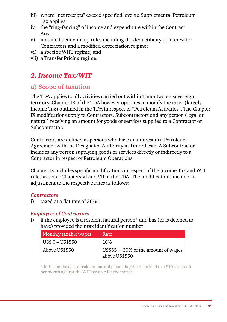- iii) where "net receipts" exceed specified levels a Supplemental Petroleum Tax applies;
- iv) the "ring-fencing" of income and expenditure within the Contract Area;
- v) modified deductibility rules including the deductibility of interest for Contractors and a modified depreciation regime;
- vi) a specific WHT regime; and
- vii) a Transfer Pricing regime.

## *2. Income Tax/WIT*

### **a) Scope of taxation**

The TDA applies to all activities carried out within Timor-Leste's sovereign territory. Chapter IX of the TDA however operates to modify the taxes (largely Income Tax) outlined in the TDA in respect of "Petroleum Activities". The Chapter IX modifications apply to Contractors, Subcontractors and any person (legal or natural) receiving an amount for goods or services supplied to a Contractor or Subcontractor.

Contractors are defined as persons who have an interest in a Petroleum Agreement with the Designated Authority in Timor-Leste. A Subcontractor includes any person supplying goods or services directly or indirectly to a Contractor in respect of Petroleum Operations.

Chapter IX includes specific modifications in respect of the Income Tax and WIT rules as set at Chapters VI and VII of the TDA. The modifications include an adjustment to the respective rates as follows:

#### *Contractors*

i) taxed at a flat rate of 30%;

#### *Employees of Contractors*

i) if the employee is a resident natural person\* and has (or is deemed to have) provided their tax identification number:

| Monthly taxable wages | Rate                                                   |
|-----------------------|--------------------------------------------------------|
| US\$ 0 - US\$550      | $10\%$                                                 |
| Above US\$550         | $US$55 + 30\%$ of the amount of wages<br>above US\$550 |

\* If the employee is a resident natural person he/she is entitled to a \$10 tax credit per month against the WIT payable for the month.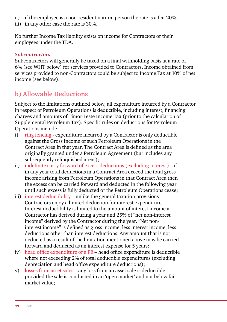- ii) if the employee is a non-resident natural person the rate is a flat 20%;
- iii) in any other case the rate is 30%.

No further Income Tax liability exists on income for Contractors or their employees under the TDA.

#### *Subcontractors*

Subcontractors will generally be taxed on a final withholding basis at a rate of 6% (see WHT below) for services provided to Contractors. Income obtained from services provided to non-Contractors could be subject to Income Tax at 10% of net income (see below).

# **b) Allowable Deductions**

Subject to the limitations outlined below, all expenditure incurred by a Contractor in respect of Petroleum Operations is deductible, including interest, financing charges and amounts of Timor-Leste Income Tax (prior to the calculation of Supplemental Petroleum Tax). Specific rules on deductions for Petroleum Operations include:

- i) ring fencing expenditure incurred by a Contractor is only deductible against the Gross Income of such Petroleum Operations in the Contract Area in that year. The Contract Area is defined as the area originally granted under a Petroleum Agreement (but includes any subsequently relinquished areas);
- ii) indefinite carry forward of excess deductions (excluding interest) if in any year total deductions in a Contract Area exceed the total gross income arising from Petroleum Operations in that Contract Area then the excess can be carried forward and deducted in the following year until such excess is fully deducted or the Petroleum Operations cease;
- iii) interest deductibility unlike the general taxation provisions Contractors enjoy a limited deduction for interest expenditure. Interest deductibility is limited to the amount of interest income a Contractor has derived during a year and 25% of "net non-interest income" derived by the Contractor during the year. "Net noninterest income" is defined as gross income, less interest income, less deductions other than interest deductions. Any amount that is not deducted as a result of the limitation mentioned above may be carried forward and deducted as an interest expense for 5 years;
- iv) head office expenditure of a PE head office expenditure is deductible where not exceeding 2% of total deductible expenditures (excluding depreciation and head office expenditure deductions);
- v) losses from asset sales any loss from an asset sale is deductible provided the sale is conducted in an 'open market' and not below fair market value;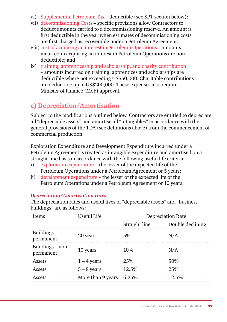- vi) Supplemental Petroleum Tax deductible (see SPT section below);
- vii) decommissioning Costs specific provisions allow Contractors to deduct amounts carried to a decommissioning reserve. An amount is first deductible in the year when estimates of decommissioning costs are first charged as recoverable under a Petroleum Agreement;
- viii) cost of acquiring an interest in Petroleum Operations amounts incurred in acquiring an interest in Petroleum Operations are nondeductible; and
- ix) training, apprenticeship and scholarship, and charity contribution – amounts incurred on training, apprentices and scholarships are deductible where not exceeding US\$50,000. Charitable contributions are deductible up to US\$200,000. These expenses also require Minister of Finance (MoF) approval.

#### **c) Depreciation/Amortisation**

Subject to the modifications outlined below, Contractors are entitled to depreciate all "depreciable assets" and amortise all "intangibles" in accordance with the general provisions of the TDA (see definitions above) from the commencement of commercial production.

Exploration Expenditure and Development Expenditure incurred under a Petroleum Agreement is treated as intangible expenditure and amortised on a straight-line basis in accordance with the following useful life criteria:

- i) exploration expenditure the lesser of the expected life of the Petroleum Operations under a Petroleum Agreement or 5 years;
- ii) development expenditure the lesser of the expected life of the Petroleum Operations under a Petroleum Agreement or 10 years.

#### *Depreciation/Amortisation rates*

The depreciation rates and useful lives of "depreciable assets" and "business buildings" are as follows:

| Items                        | Useful Life             | <b>Depreciation Rate</b> |                  |  |
|------------------------------|-------------------------|--------------------------|------------------|--|
|                              |                         | Straight line            | Double declining |  |
| Buildings-<br>permanent      | 20 years                | 5%                       | N/A              |  |
| Buildings - non<br>permanent | 10 years                | 10%                      | N/A              |  |
| Assets                       | $1 - 4$ years           | 25%                      | 50%              |  |
| Assets                       | $5 - 8$ years           | 12.5%                    | 25%              |  |
|                              | More than 9 years 6.25% |                          | 12.5%            |  |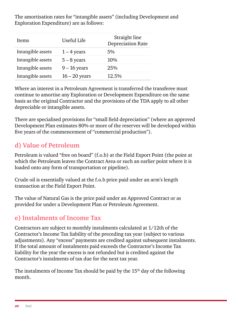The amortisation rates for "intangible assets" (including Development and Exploration Expenditure) are as follows:

| Items                         | Useful Life     | Straight line<br>Depreciation Rate |
|-------------------------------|-----------------|------------------------------------|
| Intangible assets $1-4$ years |                 | 5%                                 |
| Intangible assets             | $5-8$ years     | $10\%$                             |
| Intangible assets             | 9 – 16 years    | 25%                                |
| Intangible assets             | $16 - 20$ years | 12.5%                              |

Where an interest in a Petroleum Agreement is transferred the transferee must continue to amortise any Exploration or Development Expenditure on the same basis as the original Contractor and the provisions of the TDA apply to all other depreciable or intangible assets.

There are specialised provisions for "small field depreciation" (where an approved Development Plan estimates 80% or more of the reserves will be developed within five years of the commencement of "commercial production").

# **d) Value of Petroleum**

Petroleum is valued "free on board" (f.o.b) at the Field Export Point (the point at which the Petroleum leaves the Contract Area or such an earlier point where it is loaded onto any form of transportation or pipeline).

Crude oil is essentially valued at the f.o.b price paid under an arm's length transaction at the Field Export Point.

The value of Natural Gas is the price paid under an Approved Contract or as provided for under a Development Plan or Petroleum Agreement.

# **e) Instalments of Income Tax**

Contractors are subject to monthly instalments calculated at 1/12th of the Contractor's Income Tax liability of the preceding tax year (subject to various adjustments). Any "excess" payments are credited against subsequent instalments. If the total amount of instalments paid exceeds the Contractor's Income Tax liability for the year the excess is not refunded but is credited against the Contractor's instalments of tax due for the next tax year.

The instalments of Income Tax should be paid by the  $15<sup>th</sup>$  day of the following month.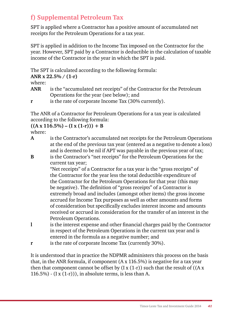# **f) Supplemental Petroleum Tax**

SPT is applied where a Contractor has a positive amount of accumulated net receipts for the Petroleum Operations for a tax year.

SPT is applied in addition to the Income Tax imposed on the Contractor for the year. However, SPT paid by a Contractor is deductible in the calculation of taxable income of the Contractor in the year in which the SPT is paid.

The SPT is calculated according to the following formula:

```
ANR x 22.5% / (1-r)
```
where:

- **ANR** is the "accumulated net receipts" of the Contractor for the Petroleum Operations for the year (see below); and
- **r** is the rate of corporate Income Tax (30% currently).

The ANR of a Contractor for Petroleum Operations for a tax year is calculated according to the following formula:

#### $((A \times 116.5\%) - (I \times (1-r))) + B$

where:

- **A** is the Contractor's accumulated net receipts for the Petroleum Operations at the end of the previous tax year (entered as a negative to denote a loss) and is deemed to be nil if APT was payable in the previous year of tax;
- **B** is the Contractor's "net receipts" for the Petroleum Operations for the current tax year;

"Net receipts" of a Contractor for a tax year is the "gross receipts" of the Contractor for the year less the total deductible expenditure of the Contractor for the Petroleum Operations for that year (this may be negative). The definition of "gross receipts" of a Contractor is extremely broad and includes (amongst other items) the gross income accrued for Income Tax purposes as well as other amounts and forms of consideration but specifically excludes interest income and amounts received or accrued in consideration for the transfer of an interest in the Petroleum Operations.

- **l** is the interest expense and other financial charges paid by the Contractor in respect of the Petroleum Operations in the current tax year and is entered in the formula as a negative number; and
- **r** is the rate of corporate Income Tax (currently 30%).

It is understood that in practice the NDPMR administers this process on the basis that, in the ANR formula, if component (A x 116.5%) is negative for a tax year then that component cannot be offset by  $(I x (1-r))$  such that the result of  $((A x A))$ 116.5%) -  $(I x (1-r))$ , in absolute terms, is less than A.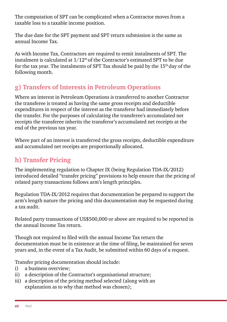The computation of SPT can be complicated when a Contractor moves from a taxable loss to a taxable income position.

The due date for the SPT payment and SPT return submission is the same as annual Income Tax.

As with Income Tax, Contractors are required to remit instalments of SPT. The instalment is calculated at  $1/12<sup>th</sup>$  of the Contractor's estimated SPT to be due for the tax year. The instalments of SPT Tax should be paid by the  $15<sup>th</sup>$  day of the following month.

# **g) Transfers of Interests in Petroleum Operations**

Where an interest in Petroleum Operations is transferred to another Contractor the transferee is treated as having the same gross receipts and deductible expenditures in respect of the interest as the transferor had immediately before the transfer. For the purposes of calculating the transferee's accumulated net receipts the transferee inherits the transferor's accumulated net receipts at the end of the previous tax year.

Where part of an interest is transferred the gross receipts, deductible expenditure and accumulated net receipts are proportionally allocated.

# **h) Transfer Pricing**

The implementing regulation to Chapter IX (being Regulation TDA-IX/2012) introduced detailed "transfer pricing" provisions to help ensure that the pricing of related party transactions follows arm's length principles.

Regulation TDA-IX/2012 requires that documentation be prepared to support the arm's length nature the pricing and this documentation may be requested during a tax audit.

Related party transactions of US\$500,000 or above are required to be reported in the annual Income Tax return.

Though not required to filed with the annual Income Tax return the documentation must be in existence at the time of filing, be maintained for seven years and, in the event of a Tax Audit, be submitted within 60 days of a request.

Transfer pricing documentation should include:

- i) a business overview;
- ii) a description of the Contractor's organisational structure;
- iii) a description of the pricing method selected (along with an explanation as to why that method was chosen);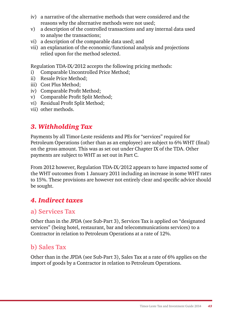- iv) a narrative of the alternative methods that were considered and the reasons why the alternative methods were not used;
- v) a description of the controlled transactions and any internal data used to analyse the transactions;
- vi) a description of the comparable data used; and
- vii) an explanation of the economic/functional analysis and projections relied upon for the method selected.

Regulation TDA-IX/2012 accepts the following pricing methods:

- i) Comparable Uncontrolled Price Method;
- ii) Resale Price Method;
- iii) Cost Plus Method;
- iv) Comparable Profit Method;
- v) Comparable Profit Split Method;
- vi) Residual Profit Split Method;
- vii) other methods.

# *3. Withholding Tax*

Payments by all Timor-Leste residents and PEs for "services" required for Petroleum Operations (other than as an employee) are subject to 6% WHT (final) on the gross amount. This was as set out under Chapter IX of the TDA. Other payments are subject to WHT as set out in Part C.

From 2012 however, Regulation TDA-IX/2012 appears to have impacted some of the WHT outcomes from 1 January 2011 including an increase in some WHT rates to 15%. These provisions are however not entirely clear and specific advice should be sought.

# *4. Indirect taxes*

## **a) Services Tax**

Other than in the JPDA (see Sub-Part 3), Services Tax is applied on "designated services" (being hotel, restaurant, bar and telecommunications services) to a Contractor in relation to Petroleum Operations at a rate of 12%.

# **b) Sales Tax**

Other than in the JPDA (see Sub-Part 3), Sales Tax at a rate of 6% applies on the import of goods by a Contractor in relation to Petroleum Operations.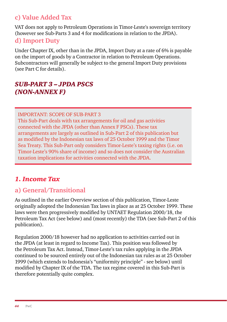# **c) Value Added Tax**

VAT does not apply to Petroleum Operations in Timor-Leste's sovereign territory (however see Sub-Parts 3 and 4 for modifications in relation to the JPDA).

#### **d) Import Duty**

Under Chapter IX, other than in the JPDA, Import Duty at a rate of 6% is payable on the import of goods by a Contractor in relation to Petroleum Operations. Subcontractors will generally be subject to the general Import Duty provisions (see Part C for details).

# *Sub-Part 3 – JPDA PSCs (non-Annex F)*

IMPORTANT: SCOPE OF SUB-PART 3

This Sub-Part deals with tax arrangements for oil and gas activities connected with the JPDA (other than Annex F PSCs). These tax arrangements are largely as outlined in Sub-Part 2 of this publication but as modified by the Indonesian tax laws of 25 October 1999 and the Timor Sea Treaty. This Sub-Part only considers Timor-Leste's taxing rights (i.e. on Timor-Leste's 90% share of income) and so does not consider the Australian taxation implications for activities connected with the JPDA.

# *1. Income Tax*

# **a) General/Transitional**

As outlined in the earlier Overview section of this publication, Timor-Leste originally adopted the Indonesian Tax laws in place as at 25 October 1999. These laws were then progressively modified by UNTAET Regulation 2000/18, the Petroleum Tax Act (see below) and (most recently) the TDA (see Sub-Part 2 of this publication).

Regulation 2000/18 however had no application to activities carried out in the JPDA (at least in regard to Income Tax). This position was followed by the Petroleum Tax Act. Instead, Timor-Leste's tax rules applying in the JPDA continued to be sourced entirely out of the Indonesian tax rules as at 25 October 1999 (which extends to Indonesia's "uniformity principle" - see below) until modified by Chapter IX of the TDA. The tax regime covered in this Sub-Part is therefore potentially quite complex.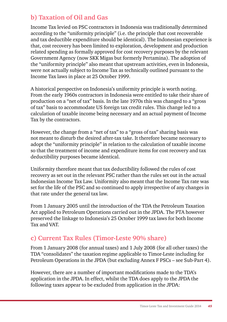# **b) Taxation of Oil and Gas**

Income Tax levied on PSC contractors in Indonesia was traditionally determined according to the "uniformity principle" (i.e. the principle that cost recoverable and tax deductible expenditure should be identical). The Indonesian experience is that, cost recovery has been limited to exploration, development and production related spending as formally approved for cost recovery purposes by the relevant Government Agency (now SKK Migas but formerly Pertamina). The adoption of the "uniformity principle" also meant that upstream activities, even in Indonesia, were not actually subject to Income Tax as technically outlined pursuant to the Income Tax laws in place at 25 October 1999.

A historical perspective on Indonesia's uniformity principle is worth noting. From the early 1960s contractors in Indonesia were entitled to take their share of production on a "net of tax" basis. In the late 1970s this was changed to a "gross of tax" basis to accommodate US foreign tax credit rules. This change led to a calculation of taxable income being necessary and an actual payment of Income Tax by the contractors.

However, the change from a "net of tax" to a "gross of tax" sharing basis was not meant to disturb the desired after-tax take. It therefore became necessary to adopt the "uniformity principle" in relation to the calculation of taxable income so that the treatment of income and expenditure items for cost recovery and tax deductibility purposes became identical.

Uniformity therefore meant that tax deductibility followed the rules of cost recovery as set out in the relevant PSC rather than the rules set out in the actual Indonesian Income Tax Law. Uniformity also meant that the Income Tax rate was set for the life of the PSC and so continued to apply irrespective of any changes in that rate under the general tax law.

From 1 January 2005 until the introduction of the TDA the Petroleum Taxation Act applied to Petroleum Operations carried out in the JPDA. The PTA however preserved the linkage to Indonesia's 25 October 1999 tax laws for both Income Tax and VAT.

# **c) Current Tax Rules (Timor-Leste 90% share)**

From 1 January 2008 (for annual taxes) and 1 July 2008 (for all other taxes) the TDA "consolidates" the taxation regime applicable to Timor-Leste including for Petroleum Operations in the JPDA (but excluding Annex F PSCs – see Sub-Part 4).

However, there are a number of important modifications made to the TDA's application in the JPDA. In effect, whilst the TDA does apply to the JPDA the following taxes appear to be excluded from application in the JPDA: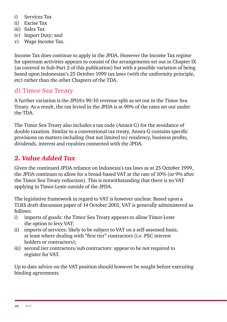- i) Services Tax
- ii) Excise Tax
- iii) Sales Tax
- iv) Import Duty; and
- v) Wage Income Tax.

Income Tax does continue to apply in the JPDA. However the Income Tax regime for upstream activities appears to consist of the arrangements set out in Chapter IX (as covered in Sub-Part 2 of this publication) but with a possible variation of being based upon Indonesian's 25 October 1999 tax laws (with the uniformity principle, etc) rather than the other Chapters of the TDA.

# **d) Timor Sea Treaty**

A further variation is the JPDA's 90:10 revenue split as set out in the Timor Sea Treaty. As a result, the tax levied in the JPDA is at 90% of the rates set out under the TDA.

The Timor Sea Treaty also includes a tax code (Annex G) for the avoidance of double taxation. Similar to a conventional tax treaty, Annex G contains specific provisions on matters including (but not limited to) residency, business profits, dividends, interest and royalties connected with the JPDA.

# *2. Value Added Tax*

Given the continued JPDA reliance on Indonesia's tax laws as at 25 October 1999, the JPDA continues to allow for a broad-based VAT at the rate of 10% (or 9% after the Timor Sea Treaty reduction). This is notwithstanding that there is no VAT applying in Timor-Leste outside of the JPDA.

The legislative framework in regard to VAT is however unclear. Based upon a TLRS draft discussion paper of 14 October 2001, VAT is generally administered as follows:

- i) imports of goods: the Timor Sea Treaty appears to allow Timor-Leste the option to levy VAT;
- ii) imports of services: likely to be subject to VAT on a self-assessed basis, at least where dealing with "first tier" contractors (i.e. PSC interest holders or contractors);
- iii) second tier contractors/sub contractors: appear to be not required to register for VAT.

Up to date advice on the VAT position should however be sought before executing binding agreements.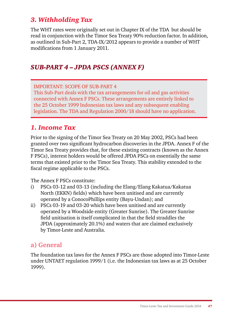# *3. Withholding Tax*

The WHT rates were originally set out in Chapter IX of the TDA but should be read in conjunction with the Timor Sea Treaty 90% reduction factor. In addition, as outlined in Sub-Part 2, TDA-IX/2012 appears to provide a number of WHT modifications from 1 January 2011.

### *Sub-Part 4 – JPDA PSCs (Annex F)*

#### IMPORTANT: SCOPE OF SUB-PART 4

This Sub-Part deals with the tax arrangements for oil and gas activities connected with Annex F PSCs. These arrangements are entirely linked to the 25 October 1999 Indonesian tax laws and any subsequent enabling legislation. The TDA and Regulation 2000/18 should have no application.

#### *1. Income Tax*

Prior to the signing of the Timor Sea Treaty on 20 May 2002, PSCs had been granted over two significant hydrocarbon discoveries in the JPDA. Annex F of the Timor Sea Treaty provides that, for these existing contracts (known as the Annex F PSCs), interest holders would be offered JPDA PSCs on essentially the same terms that existed prior to the Timor Sea Treaty. This stability extended to the fiscal regime applicable to the PSCs.

The Annex F PSCs constitute:

- i) PSCs 03-12 and 03-13 (including the Elang/Elang Kakatua/Kakatua North (EKKN) fields) which have been unitised and are currently operated by a ConocoPhillips entity (Bayu-Undan); and
- ii) PSCs 03-19 and 03-20 which have been unitised and are currently operated by a Woodside entity (Greater Sunrise). The Greater Sunrise field unitisation is itself complicated in that the field straddles the JPDA (approximately 20.1%) and waters that are claimed exclusively by Timor-Leste and Australia.

## **a) General**

The foundation tax laws for the Annex F PSCs are those adopted into Timor-Leste under UNTAET regulation 1999/1 (i.e. the Indonesian tax laws as at 25 October 1999).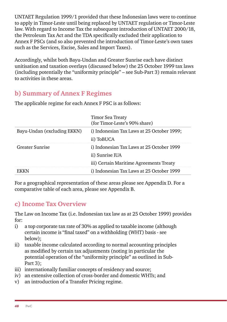UNTAET Regulation 1999/1 provided that these Indonesian laws were to continue to apply in Timor-Leste until being replaced by UNTAET regulation or Timor-Leste law. With regard to Income Tax the subsequent introduction of UNTAET 2000/18, the Petroleum Tax Act and the TDA specifically excluded their application to Annex F PSCs (and so also prevented the introduction of Timor-Leste's own taxes such as the Services, Excise, Sales and Import Taxes).

Accordingly, whilst both Bayu-Undan and Greater Sunrise each have distinct unitisation and taxation overlays (discussed below) the 25 October 1999 tax laws (including potentially the "uniformity principle" – see Sub-Part 3) remain relevant to activities in these areas.

# **b) Summary of Annex F Regimes**

|                             | Timor Sea Treaty<br>(for Timor-Leste's 90% share) |
|-----------------------------|---------------------------------------------------|
| Bayu-Undan (excluding EKKN) | i) Indonesian Tax Laws at 25 October 1999;        |
|                             | ii) ToBUCA                                        |
| Greater Sunrise             | i) Indonesian Tax Laws at 25 October 1999         |
|                             | ii) Sunrise IUA                                   |
|                             | iii) Certain Maritime Agreements Treaty           |
|                             | i) Indonesian Tax Laws at 25 October 1999         |

The applicable regime for each Annex F PSC is as follows:

For a geographical representation of these areas please see Appendix D. For a comparative table of each area, please see Appendix B.

# **c) Income Tax Overview**

The Law on Income Tax (i.e. Indonesian tax law as at 25 October 1999) provides for:

- i) a top corporate tax rate of 30% as applied to taxable income (although certain income is "final taxed" on a withholding (WHT) basis - see below);
- ii) taxable income calculated according to normal accounting principles as modified by certain tax adjustments (noting in particular the potential operation of the "uniformity principle" as outlined in Sub-Part 3):
- iii) internationally familiar concepts of residency and source;
- iv) an extensive collection of cross-border and domestic WHTs; and
- v) an introduction of a Transfer Pricing regime.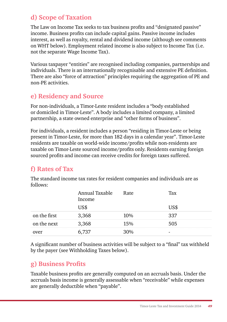# **d) Scope of Taxation**

The Law on Income Tax seeks to tax business profits and "designated passive" income. Business profits can include capital gains. Passive income includes interest, as well as royalty, rental and dividend income (although see comments on WHT below). Employment related income is also subject to Income Tax (i.e. not the separate Wage Income Tax).

Various taxpayer "entities" are recognised including companies, partnerships and individuals. There is an internationally recognisable and extensive PE definition. There are also "force of attraction" principles requiring the aggregation of PE and non-PE activities.

# **e) Residency and Source**

For non-individuals, a Timor-Leste resident includes a "body established or domiciled in Timor-Leste". A body includes a limited company, a limited partnership, a state owned enterprise and "other forms of business".

For individuals, a resident includes a person "residing in Timor-Leste or being present in Timor-Leste, for more than 182 days in a calendar year". Timor-Leste residents are taxable on world-wide income/profits while non-residents are taxable on Timor-Leste sourced income/profits only. Residents earning foreign sourced profits and income can receive credits for foreign taxes suffered.

# **f) Rates of Tax**

| 10110WU.     |                          |      |     |
|--------------|--------------------------|------|-----|
|              | Annual Taxable<br>Income | Rate | Tax |
|              |                          |      |     |
| on the first |                          |      |     |
| on the next  | 3.368                    |      | .N5 |
|              |                          |      |     |

The standard income tax rates for resident companies and individuals are as  $f_0$ llows:

A significant number of business activities will be subject to a "final" tax withheld by the payer (see Withholding Taxes below).

# **g) Business Profits**

Taxable business profits are generally computed on an accruals basis. Under the accruals basis income is generally assessable when "receivable" while expenses are generally deductible when "payable".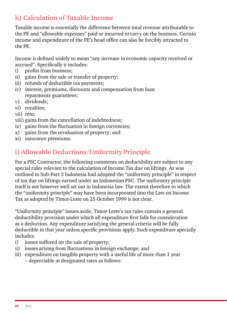# **h) Calculation of Taxable Income**

Taxable income is essentially the difference between total revenue attributable to the PE and "allowable expenses" paid or incurred to carry on the business. Certain income and expenditure of the PE's head office can also be forcibly attracted to the PE.

Income is defined widely to mean "any increase in economic capacity received or accrued". Specifically it includes:

- i) profits from business:
- ii) gains from the sale or transfer of property;
- iii) refunds of deductible tax payments;
- iv) interest, premiums, discounts and compensation from loan repayments guarantees;
- v) dividends;
- vi) royalties;
- vii) rent;
- viii) gains from the cancellation of indebtedness;
- ix) gains from the fluctuation in foreign currencies;
- x) gains from the revaluation of property; and
- xi) insurance premiums.

# **i) Allowable Deductions/Uniformity Principle**

For a PSC Contractor, the following comments on deductibility are subject to any special rules relevant to the calculation of Income Tax due on liftings. As was outlined in Sub-Part 3 Indonesia had adopted the "uniformity principle" in respect of tax due on liftings earned under an Indonesian PSC. The uniformity principle itself is not however well set out in Indonesia law. The extent therefore to which the "uniformity principle" may have been incorporated into the Law on Income Tax as adopted by Timor-Leste on 25 October 1999 is not clear.

"Uniformity principle" issues aside, Timor-Leste's tax rules contain a general deductibility provision under which all expenditure first falls for consideration as a deduction. Any expenditure satisfying the general criteria will be fully deductible in that year unless specific provisions apply. Such expenditure specially includes:

- i) losses suffered on the sale of property;
- ii) losses arising from fluctuations in foreign exchange; and
- iii) expenditure on tangible property with a useful life of more than 1 year – depreciable at designated rates as follows: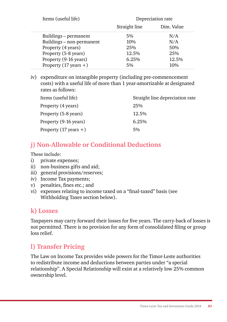| Items (useful life)              | Depreciation rate |            |  |
|----------------------------------|-------------------|------------|--|
|                                  | Straight line     | Dim. Value |  |
| Buildings – permanent            | 5%                | N/A        |  |
| Buildings - non-permanent        | 10%               | N/A        |  |
| Property (4 years)               | $2.5\%$           | 50%        |  |
| Property (5-8 years)             | 12.5%             | 25%        |  |
| Property (9-16 years)            | 6.25%             | 12.5%      |  |
| Property $(17 \text{ years} + )$ | 5%                | 10%        |  |

iv) expenditure on intangible property (including pre-commencement costs) with a useful life of more than 1 year-amortizable at designated rates as follows:

| Items (useful life)              | Straight line depreciation rate |
|----------------------------------|---------------------------------|
| Property (4 years)               | 25%                             |
| Property (5-8 years)             | 12.5%                           |
| Property (9-16 years)            | 6.25%                           |
| Property $(17 \text{ years} + )$ | 5%                              |

# **j) Non-Allowable or Conditional Deductions**

These include:

- i) private expenses;
- ii) non-business gifts and aid;
- iii) general provisions/reserves;
- iv) Income Tax payments;
- v) penalties, fines etc.; and
- vi) expenses relating to income taxed on a "final-taxed" basis (see Withholding Taxes section below).

## **k) Losses**

Taxpayers may carry forward their losses for five years. The carry-back of losses is not permitted. There is no provision for any form of consolidated filing or group loss relief.

# **l) Transfer Pricing**

The Law on Income Tax provides wide powers for the Timor-Leste authorities to redistribute income and deductions between parties under "a special relationship". A Special Relationship will exist at a relatively low 25% common ownership level.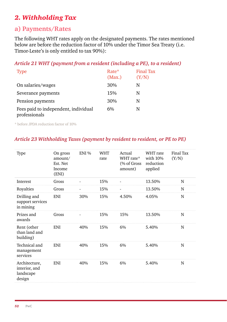# *2. Withholding Tax*

#### **a) Payments/Rates**

The following WHT rates apply on the designated payments. The rates mentioned below are before the reduction factor of 10% under the Timor Sea Treaty (i.e. Timor-Leste's is only entitled to tax 90%):

#### *Article 21 WHT (payment from a resident (including a PE), to a resident)*

| <b>Type</b>                                           | Rate*<br>(Max.) | Final Tax<br>(Y/N) |
|-------------------------------------------------------|-----------------|--------------------|
| On salaries/wages                                     | 30%             | N                  |
| Severance payments                                    | 15%             | N                  |
| Pension payments                                      | 30%             | N                  |
| Fees paid to independent, individual<br>professionals | 6%              | N                  |

\* before JPDA reduction factor of 10%

#### *Article 23 Withholding Taxes (payment by resident to resident, or PE to PE)*

| Type                                                  | On gross<br>amount/<br>Est. Net<br><b>Income</b><br>(ENI) | ENI % | <b>WHT</b><br>rate | Actual<br>WHT rate*<br>(% of Gross)<br>amount) | WHT rate<br>with 10%<br>reduction<br>applied | Final Tax<br>(Y/N) |
|-------------------------------------------------------|-----------------------------------------------------------|-------|--------------------|------------------------------------------------|----------------------------------------------|--------------------|
| Interest                                              | Gross                                                     |       | 15%                |                                                | 13.50%                                       | N                  |
| Royalties                                             | Gross                                                     |       | 15%                |                                                | 13.50%                                       | N                  |
| Drilling and<br>support services<br>in mining         | <b>ENI</b>                                                | 30%   | 15%                | 4.50%                                          | 4.05%                                        | N                  |
| Prizes and<br>awards                                  | Gross                                                     |       | 15%                | 15%                                            | 13.50%                                       | N                  |
| Rent (other<br>than land and<br>building)             | <b>ENI</b>                                                | 40%   | 15%                | 6%                                             | 5.40%                                        | N                  |
| Technical and<br>management<br>services               | <b>ENI</b>                                                | 40%   | 15%                | 6%                                             | 5.40%                                        | N                  |
| Architecture,<br>interior, and<br>landscape<br>design | <b>ENI</b>                                                | 40%   | 15%                | 6%                                             | 5.40%                                        | N                  |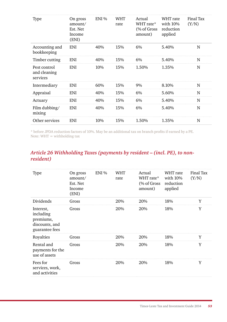| Type                                     | On gross<br>amount/<br>Est. Net<br>Income<br>(ENI) | ENI % | <b>WHT</b><br>rate | Actual<br>WHT rate*<br>(% of Gross)<br>amount) | WHT rate<br>with 10%<br>reduction<br>applied | Final Tax<br>(Y/N) |
|------------------------------------------|----------------------------------------------------|-------|--------------------|------------------------------------------------|----------------------------------------------|--------------------|
| Accounting and<br>bookkeeping            | <b>ENI</b>                                         | 40%   | 15%                | 6%                                             | 5.40%                                        | N                  |
| Timber cutting                           | ENI                                                | 40%   | 15%                | 6%                                             | 5.40%                                        | N                  |
| Pest control<br>and cleaning<br>services | <b>ENI</b>                                         | 10%   | 15%                | 1.50%                                          | 1.35%                                        | N                  |
| Intermediary                             | <b>ENI</b>                                         | 60%   | 15%                | 9%                                             | 8.10%                                        | N                  |
| Appraisal                                | <b>ENI</b>                                         | 40%   | 15%                | 6%                                             | 5.60%                                        | N                  |
| Actuary                                  | <b>ENI</b>                                         | 40%   | 15%                | 6%                                             | 5.40%                                        | N                  |
| Film dubbing/<br>mixing                  | <b>ENI</b>                                         | 40%   | 15%                | 6%                                             | 5.40%                                        | N                  |
| Other services                           | <b>ENI</b>                                         | 10%   | 15%                | 1.50%                                          | 1.35%                                        | N                  |

\* before JPDA reduction factors of 10%. May be an additional tax on branch profits if earned by a PE. Note: WHT = withholding tax

#### *Article 26 Withholding Taxes (payments by resident – (incl. PE), to nonresident)*

| Type                                                                    | On gross<br>amount/<br>Est. Net<br>Income<br>(ENI) | ENI% | WHT<br>rate | Actual<br>WHT rate*<br>(% of Gross<br>amount) | WHT rate<br>with 10%<br>reduction<br>applied | Final Tax<br>(Y/N) |
|-------------------------------------------------------------------------|----------------------------------------------------|------|-------------|-----------------------------------------------|----------------------------------------------|--------------------|
| Dividends                                                               | Gross                                              |      | 20%         | 20%                                           | 18%                                          | Y                  |
| Interest,<br>including<br>premiums,<br>discounts, and<br>guarantee fees | Gross                                              |      | 20%         | 20%                                           | 18%                                          | Y                  |
| Royalties                                                               | Gross                                              |      | 20%         | 20%                                           | 18%                                          | Y                  |
| Rental and<br>payments for the<br>use of assets                         | Gross                                              |      | 20%         | 20%                                           | 18%                                          | Y                  |
| Fees for<br>services, work,<br>and activities                           | Gross                                              |      | 20%         | 20%                                           | 18%                                          | Y                  |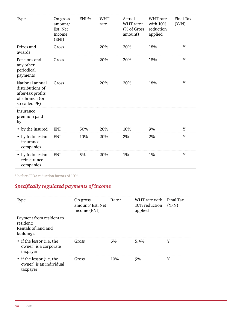| Type                                                                                         | On gross<br>amount/<br>Est. Net<br>Income<br>(ENI) | ENI % | <b>WHT</b><br>rate | Actual<br>WHT rate*<br>(% of Gross<br>amount) | WHT rate<br>with 10%<br>reduction<br>applied | Final Tax<br>(Y/N) |
|----------------------------------------------------------------------------------------------|----------------------------------------------------|-------|--------------------|-----------------------------------------------|----------------------------------------------|--------------------|
| Prizes and<br>awards                                                                         | Gross                                              |       | 20%                | 20%                                           | 18%                                          | Y                  |
| Pensions and<br>any other<br>periodical<br>payments                                          | Gross                                              |       | 20%                | 20%                                           | 18%                                          | Y                  |
| National annual<br>distributions of<br>after-tax profits<br>of a branch (or<br>so-called PE) | Gross                                              |       | 20%                | 20%                                           | 18%                                          | Y                  |
| Insurance<br>premium paid<br>by:                                                             |                                                    |       |                    |                                               |                                              |                    |
| • by the insured                                                                             | <b>ENI</b>                                         | 50%   | 20%                | 10%                                           | 9%                                           | Y                  |
| • by Indonesian<br>insurance<br>companies                                                    | <b>ENI</b>                                         | 10%   | 20%                | 2%                                            | 2%                                           | Y                  |
| • by Indonesian<br>reinsurance<br>companies                                                  | ENI                                                | 5%    | 20%                | 1%                                            | 1%                                           | Y                  |

\* before JPDA reduction factors of 10%.

#### *Specifically regulated payments of income*

| 'l'ype                                                                     | On gross<br>amount/Est. Net<br>Income (ENI) | Rate* | WHT rate with Final Tax<br>$10\%$ reduction $(Y/N)$<br>applied |  |
|----------------------------------------------------------------------------|---------------------------------------------|-------|----------------------------------------------------------------|--|
| Payment from resident to<br>resident:<br>Rentals of land and<br>buildings: |                                             |       |                                                                |  |
| • if the lessor (i.e. the<br>owner) is a corporate<br>taxpayer             | Gross                                       | 6%    | $5.4\%$                                                        |  |
| • if the lessor ( <i>i.e.</i> the<br>owner) is an individual<br>taxpayer   | Gross                                       | 10%   | $9\%$                                                          |  |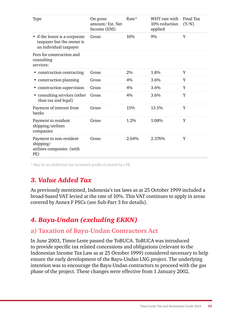| Type                                                                                  | On gross<br>amount/Est. Net<br>Income (ENI) | Rate* | WHT rate with<br>10% reduction<br>applied | Final Tax<br>(Y/N) |
|---------------------------------------------------------------------------------------|---------------------------------------------|-------|-------------------------------------------|--------------------|
| • if the lessor is a corporate<br>taxpayer but the owner is<br>an individual taxpayer | Gross                                       | 10%   | 9%                                        | Y                  |
| Fees for construction and<br>consulting<br>services:                                  |                                             |       |                                           |                    |
| • construction contracting                                                            | Gross                                       | 2%    | 1.8%                                      | Y                  |
| • construction planning                                                               | Gross                                       | 4%    | $3.6\%$                                   | Y                  |
| • construction supervision                                                            | Gross                                       | 4%    | 3.6%                                      | Y                  |
| • consulting services (other<br>than tax and legal)                                   | Gross                                       | 4%    | 3.6%                                      | Y                  |
| Payment of interest from<br>banks                                                     | Gross                                       | 15%   | 13.5%                                     | Y                  |
| Payment to resident<br>shipping/airlines<br>companies                                 | Gross                                       | 1.2%  | 1.08%                                     | Y                  |
| Payment to non-resident<br>shipping/<br>airlines companies (with<br>PE)               | Gross                                       | 2.64% | 2.376%                                    | Y                  |

\* May be an additional tax on branch profits if earned by a PE.

# *3. Value Added Tax*

As previously mentioned, Indonesia's tax laws as at 25 October 1999 included a broad-based VAT levied at the rate of 10%. This VAT continues to apply in areas covered by Annex F PSCs (see Sub-Part 3 for details).

# *4. Bayu-Undan (excluding EKKN)*

## **a) Taxation of Bayu-Undan Contractors Act**

In June 2003, Timor-Leste passed the ToBUCA. ToBUCA was introduced to provide specific tax related concessions and obligations (relevant to the Indonesian Income Tax Law as at 25 October 1999) considered necessary to help ensure the early development of the Bayu-Undan LNG project. The underlying intention was to encourage the Bayu-Undan contractors to proceed with the gas phase of the project. These changes were effective from 1 January 2002.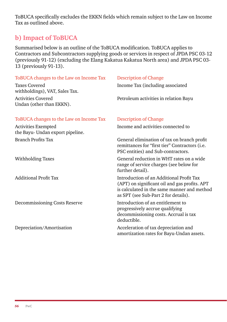ToBUCA specifically excludes the EKKN fields which remain subject to the Law on Income Tax as outlined above.

## **b) Impact of ToBUCA**

Summarised below is an outline of the ToBUCA modification. ToBUCA applies to Contractors and Subcontractors supplying goods or services in respect of JPDA PSC 03-12 (previously 91-12) (excluding the Elang Kakatua Kakatua North area) and JPDA PSC 03- 13 (previously 91-13).

| ToBUCA changes to the Law on Income Tax                 | Description of Change                                                                                                                                                            |
|---------------------------------------------------------|----------------------------------------------------------------------------------------------------------------------------------------------------------------------------------|
| <b>Taxes Covered</b><br>withholdings), VAT, Sales Tax.  | Income Tax (including associated                                                                                                                                                 |
| <b>Activities Covered</b><br>Undan (other than EKKN).   | Petroleum activities in relation Bayu                                                                                                                                            |
| ToBUCA changes to the Law on Income Tax                 | Description of Change                                                                                                                                                            |
| Activities Exempted<br>the Bayu- Undan export pipeline. | Income and activities connected to                                                                                                                                               |
| Branch Profits Tax                                      | General elimination of tax on branch profit<br>remittances for "first tier" Contractors (i.e.<br>PSC entities) and Sub-contractors.                                              |
| Withholding Taxes                                       | General reduction in WHT rates on a wide<br>range of service charges (see below for<br>further detail).                                                                          |
| <b>Additional Profit Tax</b>                            | Introduction of an Additional Profit Tax<br>(APT) on significant oil and gas profits. APT<br>is calculated in the same manner and method<br>as SPT (see Sub-Part 2 for details). |
| Decommissioning Costs Reserve                           | Introduction of an entitlement to<br>progressively accrue qualifying<br>decommissioning costs. Accrual is tax<br>deductible.                                                     |
| Depreciation/Amortisation                               | Acceleration of tax depreciation and<br>amortization rates for Bayu-Undan assets.                                                                                                |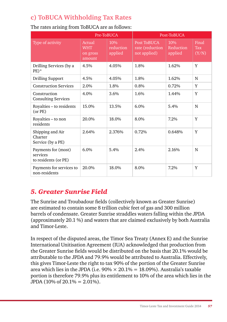# **c) ToBUCA Withholding Tax Rates**

|                                                         |                                            | Pre-ToBUCA                  | Post-ToBUCA                                    |                             |                              |
|---------------------------------------------------------|--------------------------------------------|-----------------------------|------------------------------------------------|-----------------------------|------------------------------|
| Type of activity                                        | Actual<br><b>WHT</b><br>on gross<br>amount | 10%<br>reduction<br>applied | Post ToBUCA<br>rate (reduction<br>not applied) | 10%<br>Reduction<br>applied | Final<br><b>Tax</b><br>(Y/N) |
| Drilling Services (by a<br>$PE)*$                       | 4.5%                                       | 4.05%                       | 1.8%                                           | 1.62%                       | Y                            |
| <b>Drilling Support</b>                                 | 4.5%                                       | 4.05%                       | 1.8%                                           | 1.62%                       | N                            |
| <b>Construction Services</b>                            | 2.0%                                       | 1.8%                        | 0.8%                                           | 0.72%                       | Y                            |
| Construction<br><b>Consulting Services</b>              | 4.0%                                       | 3.6%                        | 1.6%                                           | 1.44%                       | Y                            |
| Royalties - to residents<br>(or PE)                     | 15.0%                                      | 13.5%                       | 6.0%                                           | 5.4%                        | N                            |
| Royalties – to non<br>residents                         | 20.0%                                      | 18.0%                       | 8.0%                                           | 7.2%                        | Y                            |
| Shipping and Air<br>Charter<br>Service (by a PE)        | 2.64%                                      | 2.376%                      | 0.72%                                          | 0.648%                      | Y                            |
| Payments for (most)<br>services<br>to residents (or PE) | 6.0%                                       | 5.4%                        | 2.4%                                           | 2.16%                       | N                            |
| Payments for services to<br>non-residents               | 20.0%                                      | 18.0%                       | 8.0%                                           | 7.2%                        | Y                            |

#### The rates arising from ToBUCA are as follows:

# *5. Greater Sunrise Field*

The Sunrise and Troubadour fields (collectively known as Greater Sunrise) are estimated to contain some 8 trillion cubic feet of gas and 300 million barrels of condensate. Greater Sunrise straddles waters falling within the JPDA (approximately 20.1 %) and waters that are claimed exclusively by both Australia and Timor-Leste.

In respect of the disputed areas, the Timor Sea Treaty (Annex E) and the Sunrise International Unitisation Agreement (IUA) acknowledged that production from the Greater Sunrise fields would be distributed on the basis that 20.1% would be attributable to the JPDA and 79.9% would be attributed to Australia. Effectively, this gives Timor-Leste the right to tax 90% of the portion of the Greater Sunrise area which lies in the JPDA (i.e.  $90\% \times 20.1\% = 18.09\%$ ). Australia's taxable portion is therefore 79.9% plus its entitlement to 10% of the area which lies in the JPDA (10% of  $20.1% = 2.01%$ ).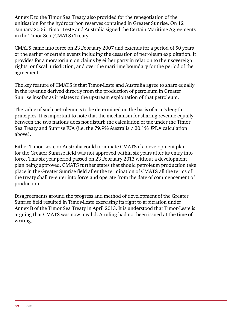Annex E to the Timor Sea Treaty also provided for the renegotiation of the unitisation for the hydrocarbon reserves contained in Greater Sunrise. On 12 January 2006, Timor-Leste and Australia signed the Certain Maritime Agreements in the Timor Sea (CMATS) Treaty.

CMATS came into force on 23 February 2007 and extends for a period of 50 years or the earlier of certain events including the cessation of petroleum exploitation. It provides for a moratorium on claims by either party in relation to their sovereign rights, or fiscal jurisdiction, and over the maritime boundary for the period of the agreement.

The key feature of CMATS is that Timor-Leste and Australia agree to share equally in the revenue derived directly from the production of petroleum in Greater Sunrise insofar as it relates to the upstream exploitation of that petroleum.

The value of such petroleum is to be determined on the basis of arm's length principles. It is important to note that the mechanism for sharing revenue equally between the two nations does not disturb the calculation of tax under the Timor Sea Treaty and Sunrise IUA (i.e. the 79.9% Australia / 20.1% JPDA calculation above).

Either Timor-Leste or Australia could terminate CMATS if a development plan for the Greater Sunrise field was not approved within six years after its entry into force. This six year period passed on 23 February 2013 without a development plan being approved. CMATS further states that should petroleum production take place in the Greater Sunrise field after the termination of CMATS all the terms of the treaty shall re-enter into force and operate from the date of commencement of production.

Disagreements around the progress and method of development of the Greater Sunrise field resulted in Timor-Leste exercising its right to arbitration under Annex B of the Timor Sea Treaty in April 2013. It is understood that Timor-Leste is arguing that CMATS was now invalid. A ruling had not been issued at the time of writing.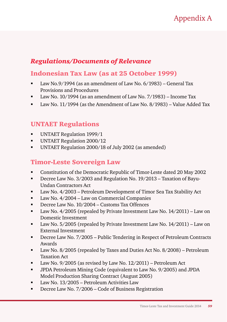# Appendix A

## *Regulations/Documents of Relevance*

## Indonesian Tax Law (as at 25 October 1999)

- Law No.9/1994 (as an amendment of Law No. 6/1983) General Tax Provisions and Procedures
- Law No. 10/1994 (as an amendment of Law No. 7/1983) Income Tax
- Law No. 11/1994 (as the Amendment of Law No. 8/1983) Value Added Tax

### UNTAET Regulations

- UNTAET Regulation 1999/1
- UNTAET Regulation 2000/12
- UNTAET Regulation 2000/18 of July 2002 (as amended)

#### Timor-Leste Sovereign Law

- Constitution of the Democratic Republic of Timor-Leste dated 20 May 2002
- Decree Law No. 3/2003 and Regulation No. 19/2013 Taxation of Bayu-Undan Contractors Act
- Law No. 4/2003 Petroleum Development of Timor Sea Tax Stability Act
- Law No. 4/2004 Law on Commercial Companies
- Decree Law No. 10/2004 Customs Tax Offences
- Law No. 4/2005 (repealed by Private Investment Law No. 14/2011) Law on Domestic Investment
- Law No. 5/2005 (repealed by Private Investment Law No. 14/2011) Law on External Investment
- Decree Law No. 7/2005 Public Tendering in Respect of Petroleum Contracts Awards
- Law No. 8/2005 (repealed by Taxes and Duties Act No. 8/2008) Petroleum Taxation Act
- Law No. 9/2005 (as revised by Law No. 12/2011) Petroleum Act
- JPDA Petroleum Mining Code (equivalent to Law No. 9/2005) and JPDA Model Production Sharing Contract (August 2005)
- Law No. 13/2005 Petroleum Activities Law
- **Decree Law No. 7/2006 Code of Business Registration**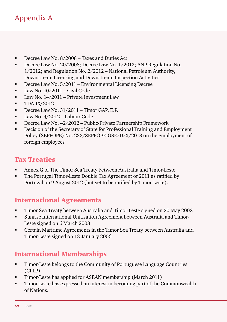# Appendix A

- Decree Law No. 8/2008 Taxes and Duties Act
- Decree Law No. 20/2008; Decree Law No. 1/2012; ANP Regulation No. 1/2012; and Regulation No. 2/2012 – National Petroleum Authority, Downstream Licensing and Downstream Inspection Activities
- **Decree Law No. 5/2011 Environmental Licensing Decree**
- $\blacksquare$  Law No.  $10/2011$  Civil Code
- Law No. 14/2011 Private Investment Law
- $\blacksquare$  TDA-IX/2012
- Decree Law No. 31/2011 Timor GAP, E.P.
- **Law No. 4/2012 Labour Code**
- Decree Law No. 42/2012 Public-Private Partnership Framework
- Decision of the Secretary of State for Professional Training and Employment Policy (SEPFOPE) No. 232/SEPFOPE-GSE/D/X/2013 on the employment of foreign employees

#### Tax Treaties

- Annex G of The Timor Sea Treaty between Australia and Timor-Leste
- The Portugal Timor-Leste Double Tax Agreement of 2011 as ratified by Portugal on 9 August 2012 (but yet to be ratified by Timor-Leste).

## International Agreements

- Timor Sea Treaty between Australia and Timor-Leste signed on 20 May 2002
- Sunrise International Unitisation Agreement between Australia and Timor-Leste signed on 6 March 2003
- Certain Maritime Agreements in the Timor Sea Treaty between Australia and Timor-Leste signed on 12 January 2006

## International Memberships

- Timor-Leste belongs to the Community of Portuguese Language Countries (CPLP)
- Timor-Leste has applied for ASEAN membership (March 2011)
- Timor-Leste has expressed an interest in becoming part of the Commonwealth of Nations.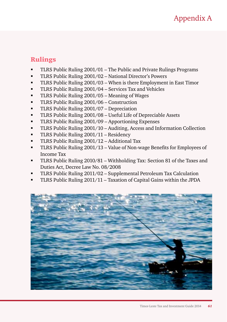### Rulings

- TLRS Public Ruling 2001/01 The Public and Private Rulings Programs
- TLRS Public Ruling 2001/02 National Director's Powers
- TLRS Public Ruling 2001/03 When is there Employment in East Timor
- TLRS Public Ruling 2001/04 Services Tax and Vehicles
- TLRS Public Ruling 2001/05 Meaning of Wages
- TLRS Public Ruling 2001/06 Construction
- TLRS Public Ruling 2001/07 Depreciation
- TLRS Public Ruling 2001/08 Useful Life of Depreciable Assets
- TLRS Public Ruling 2001/09 Apportioning Expenses
- TLRS Public Ruling 2001/10 Auditing, Access and Information Collection
- TLRS Public Ruling 2001/11 Residency
- TLRS Public Ruling 2001/12 Additional Tax
- TLRS Public Ruling 2001/13 Value of Non-wage Benefits for Employees of Income Tax
- TLRS Public Ruling 2010/81 Withholding Tax: Section 81 of the Taxes and Duties Act, Decree Law No. 08/2008
- TLRS Public Ruling 2011/02 Supplemental Petroleum Tax Calculation
- TLRS Public Ruling 2011/11 Taxation of Capital Gains within the JPDA

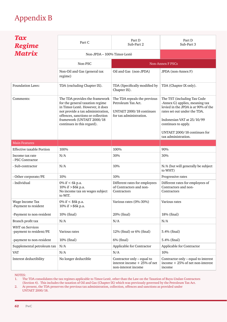# Appendix B

| Tax<br><b>Regime</b><br><b>Matrix</b>             | Part C                                                                                                                                                                                                                                     | Part D<br>Sub-Part 2                                                                                      | Part D<br>Sub-Part 3                                                                                                                                                                                                                             |  |
|---------------------------------------------------|--------------------------------------------------------------------------------------------------------------------------------------------------------------------------------------------------------------------------------------------|-----------------------------------------------------------------------------------------------------------|--------------------------------------------------------------------------------------------------------------------------------------------------------------------------------------------------------------------------------------------------|--|
|                                                   | Non-JPDA - 100% Timor-Lestè                                                                                                                                                                                                                |                                                                                                           |                                                                                                                                                                                                                                                  |  |
|                                                   | Non-PSC                                                                                                                                                                                                                                    |                                                                                                           | Non-Annex F PSCs                                                                                                                                                                                                                                 |  |
|                                                   | Non-Oil and Gas (general tax<br>regime)                                                                                                                                                                                                    | Oil and Gas (non-JPDA)                                                                                    | JPDA (non-Annex F)                                                                                                                                                                                                                               |  |
| Foundation Laws:                                  | TDA (excluding Chapter IX).                                                                                                                                                                                                                | TDA (Specifically modified by<br>Chapter IX).                                                             | TDA (Chapter IX only).                                                                                                                                                                                                                           |  |
| Comments:                                         | The TDA provides the framework<br>for the general taxation regime<br>in Timor-Lestè. However, it does<br>not provide a tax administration,<br>offences, sanctions or collection<br>framework (UNTAET 2000/18<br>continues in this regard). | The TDA repeals the previous<br>Petroleum Tax Act.<br>UNTAET 2000/18 continues<br>for tax administration. | The TST (including Tax Code<br>-Annex G) applies, meaning tax<br>levied in the JPDA is at 90% of the<br>rates set out under the TDA.<br>Indonesian VAT at 25/10/99<br>continues to apply.<br>UNTAET 2000/18 continues for<br>tax administration. |  |
| <b>Main Features</b>                              |                                                                                                                                                                                                                                            |                                                                                                           |                                                                                                                                                                                                                                                  |  |
| <b>Effective taxable Portion</b>                  | 100%                                                                                                                                                                                                                                       | 100%                                                                                                      | 90%                                                                                                                                                                                                                                              |  |
| Income tax rate<br>- PSC Contractor               | N/A                                                                                                                                                                                                                                        | 30%                                                                                                       | 30%                                                                                                                                                                                                                                              |  |
| - Sub-contractor                                  | N/A                                                                                                                                                                                                                                        | 10%                                                                                                       | N/A (but will generally be subject<br>to WHT)                                                                                                                                                                                                    |  |
| - Other corporate/PE                              | 10%                                                                                                                                                                                                                                        | 10%                                                                                                       | Progressive rates                                                                                                                                                                                                                                |  |
| - Individual                                      | 0% if $< 6k$ p.a.<br>10% if $>$ \$6k p.a.<br>No income tax on wages subject<br>to WIT.                                                                                                                                                     | Different rates for employees<br>of Contractors and non-<br>Contractors                                   | Different rates for employees of<br>Contractors and non-<br>Contractors                                                                                                                                                                          |  |
| Wage Income Tax<br>-Payment to resident           | 0% if $<$ \$6k p.a.<br>10% if > \$6k p.a.                                                                                                                                                                                                  | Various rates (0%-30%)                                                                                    | Various rates                                                                                                                                                                                                                                    |  |
| -Payment to non-resident                          | 10% (final)                                                                                                                                                                                                                                | 20% (final)                                                                                               | 18% (final)                                                                                                                                                                                                                                      |  |
| Branch profit tax                                 | N/A                                                                                                                                                                                                                                        | N/A                                                                                                       | N/A                                                                                                                                                                                                                                              |  |
| <b>WHT</b> on Services<br>-payment to resident/PE | Various rates                                                                                                                                                                                                                              | 12% (final) or 6% (final)                                                                                 | 5.4% (final)                                                                                                                                                                                                                                     |  |
| -payment to non-resident                          | 10% (final)                                                                                                                                                                                                                                | 6% (final)                                                                                                | 5.4% (final)                                                                                                                                                                                                                                     |  |
| Supplemental petroleum tax                        | N/A                                                                                                                                                                                                                                        | Applicable for Contractor                                                                                 | Applicable for Contractor                                                                                                                                                                                                                        |  |
| <b>VAT</b>                                        | N/A                                                                                                                                                                                                                                        | N/A                                                                                                       | 10%                                                                                                                                                                                                                                              |  |
| Interest deductibility                            | No longer deductible                                                                                                                                                                                                                       | Contractor only - equal to<br>interest income $+25%$ of net<br>non-interest income                        | Contractor only - equal to interest<br>income $+25%$ of net non-interest<br>income                                                                                                                                                               |  |

NOTES:

1. The TDA consolidates the tax regimes applicable to Timor-Lestè, other than the Law on the Taxation of Buyu-Undan Contractors (Section 4). This includes the taxation of Oil and Gas (Chapter IX) which was previously governed by the Petroleum Tax Act.

2. At present, the TDA preserves the previous tax administration, collection, offences and sanctions as provided under UNTAET 2000/18.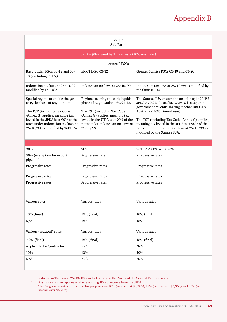# Appendix B

| Part D<br>Sub-Part 4                                                                                                                                                                                                                               |                                                                                                                                                                                                                                |                                                                                                                                                                                                                                                                                                                                                                      |  |
|----------------------------------------------------------------------------------------------------------------------------------------------------------------------------------------------------------------------------------------------------|--------------------------------------------------------------------------------------------------------------------------------------------------------------------------------------------------------------------------------|----------------------------------------------------------------------------------------------------------------------------------------------------------------------------------------------------------------------------------------------------------------------------------------------------------------------------------------------------------------------|--|
| JPDA – 90% taxed by Timor-Lestè (10% Australia)                                                                                                                                                                                                    |                                                                                                                                                                                                                                |                                                                                                                                                                                                                                                                                                                                                                      |  |
|                                                                                                                                                                                                                                                    | Annex F PSCs                                                                                                                                                                                                                   |                                                                                                                                                                                                                                                                                                                                                                      |  |
| Bayu Undan PSCs 03-12 and 03-<br>13 (excluding EKKN)                                                                                                                                                                                               | <b>EKKN (PSC 03-12)</b>                                                                                                                                                                                                        | Greater Sunrise PSCs 03-19 and 03-20                                                                                                                                                                                                                                                                                                                                 |  |
| Indonesian tax laws at 25/10/99,<br>modified by ToBUCA.                                                                                                                                                                                            | Indonesian tax laws at 25/10/99.                                                                                                                                                                                               | Indonesian tax laws at 25/10/99 as modified by<br>the Sunrise IUA.                                                                                                                                                                                                                                                                                                   |  |
| Special regime to enable the gas<br>re-cycle phase of Bayu Undan.<br>The TST (including Tax Code<br>-Annex G) applies, meaning tax<br>levied in the JPDA is at 90% of the<br>rates under Indonesian tax laws at<br>25/10/99 as modified by ToBUCA. | Regime covering the early liquids<br>phase of Buyu-Undan PSC 91-12.<br>The TST (including Tax Code<br>-Annex G) applies, meaning tax<br>levied in the JPDA is at 90% of the<br>rates under Indonesian tax laws at<br>25/10/99. | The Sunrise IUA creates the taxation split 20.1%<br>JPDA / 79.9% Australia. CMATS is a separate<br>government revenue sharing mechanism (50%<br>Australia / 50% Timor-Lestè).<br>The TST (including Tax Code -Annex G) applies,<br>meaning tax levied in the JPDA is at 90% of the<br>rates under Indonesian tax laws at 25/10/99 as<br>modified by the Sunrise IUA. |  |
|                                                                                                                                                                                                                                                    |                                                                                                                                                                                                                                |                                                                                                                                                                                                                                                                                                                                                                      |  |
| 90%                                                                                                                                                                                                                                                | 90%                                                                                                                                                                                                                            | $90\% \times 20.1\% = 18.09\%$                                                                                                                                                                                                                                                                                                                                       |  |
| 30% (exemption for export<br>pipeline)                                                                                                                                                                                                             | Progressive rates                                                                                                                                                                                                              | Progressive rates                                                                                                                                                                                                                                                                                                                                                    |  |
| Progressive rates                                                                                                                                                                                                                                  | Progressive rates                                                                                                                                                                                                              | Progressive rates                                                                                                                                                                                                                                                                                                                                                    |  |
| Progressive rates                                                                                                                                                                                                                                  | Progressive rates                                                                                                                                                                                                              | Progressive rates                                                                                                                                                                                                                                                                                                                                                    |  |
| Progressive rates                                                                                                                                                                                                                                  | Progressive rates                                                                                                                                                                                                              | Progressive rates                                                                                                                                                                                                                                                                                                                                                    |  |
| Various rates                                                                                                                                                                                                                                      | Various rates                                                                                                                                                                                                                  | Various rates                                                                                                                                                                                                                                                                                                                                                        |  |
| 18% (final)                                                                                                                                                                                                                                        | 18% (final)                                                                                                                                                                                                                    | 18% (final)                                                                                                                                                                                                                                                                                                                                                          |  |
| N/A                                                                                                                                                                                                                                                | 18%                                                                                                                                                                                                                            | 18%                                                                                                                                                                                                                                                                                                                                                                  |  |
| Various (reduced) rates<br>7.2% (final)                                                                                                                                                                                                            | Various rates<br>18% (final)                                                                                                                                                                                                   | Various rates<br>18% (final)                                                                                                                                                                                                                                                                                                                                         |  |
| Applicable for Contractor                                                                                                                                                                                                                          | N/A                                                                                                                                                                                                                            | N/A                                                                                                                                                                                                                                                                                                                                                                  |  |
| 10%                                                                                                                                                                                                                                                | 10%                                                                                                                                                                                                                            | 10%                                                                                                                                                                                                                                                                                                                                                                  |  |
| N/A                                                                                                                                                                                                                                                | N/A                                                                                                                                                                                                                            | N/A                                                                                                                                                                                                                                                                                                                                                                  |  |

3. Indonesian Tax Law at 25/10/1999 includes Income Tax, VAT and the General Tax provisions.

4. Australian tax law applies on the remaining 10% of income from the JPDA. The Progressive rates for Income Tax purposes are 10% (on the first \$3,368), 15% (on the next \$3,368) and 30% (on income over \$6,737).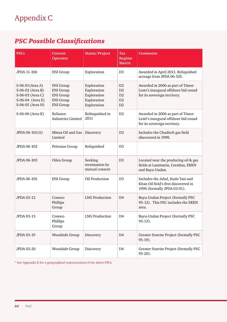# *PSC Possible Classifications*

| <b>PSCs</b>                                                                                      | <b>Current</b><br><b>Operator</b>                                                                | <b>Status/Project</b>                                                   | Tax<br>Regime<br><b>Matrix</b>         | <b>Comments</b>                                                                                           |
|--------------------------------------------------------------------------------------------------|--------------------------------------------------------------------------------------------------|-------------------------------------------------------------------------|----------------------------------------|-----------------------------------------------------------------------------------------------------------|
| JPDA 11-106                                                                                      | <b>ENI</b> Group                                                                                 | Exploration                                                             | D <sub>3</sub>                         | Awarded in April 2013. Reliquished<br>acreage from JPDA 06-105.                                           |
| S-06-01 (Area A)<br>S-06-02 (Area B)<br>S-06-03 (Area C)<br>S-06-04 (Area E)<br>S-06-05 (Area H) | <b>ENI</b> Group<br><b>ENI</b> Group<br><b>ENI</b> Group<br><b>ENI</b> Group<br><b>ENI</b> Group | Exploration<br>Exploration<br>Exploration<br>Exploration<br>Exploration | D <sub>2</sub><br>D2<br>D2<br>D2<br>D2 | Awarded in 2006 as part of Timor-<br>Leste's inaugural offshore bid round<br>for its sovereign territory. |
| S-06-06 (Area K)                                                                                 | Reliance<br><b>Industries Limited</b>                                                            | Relinquished in<br>2011                                                 | D <sub>2</sub>                         | Awarded in 2006 as part of Timor-<br>Lestè's inaugural offshore bid round<br>for its sovereign territory. |
| JPDA 06-101(A)                                                                                   | Minza Oil and Gas<br>Limited                                                                     | Discovery                                                               | D3                                     | Includes the Chuditch gas field<br>discovered in 1998.                                                    |
| JPDA 06-102                                                                                      | Petronas Group                                                                                   | Reliquished                                                             | D <sub>3</sub>                         |                                                                                                           |
| JPDA 06-103                                                                                      | Oilex Group                                                                                      | Seeking<br>termination by<br>mutual consent                             | D <sub>3</sub>                         | Located near the producing oil & gas<br>fields at Laminaria, Coralina, EKKN<br>and Bayu-Undan.            |
| JPDA 06-105                                                                                      | <b>ENI</b> Group                                                                                 | Oil Production                                                          | D <sub>3</sub>                         | Includes the Jahal, Kuda Tasi and<br>Kitan Oil field's first discovered in<br>1996 (formally JPDA 03-01). |
| JPDA 03-12                                                                                       | Conoco<br>Phillips<br>Group                                                                      | <b>LNG Production</b>                                                   | D <sub>4</sub>                         | Bayu-Undan Project (formally PSC<br>95-12). This PSC includes the EKKN<br>area.                           |
| JPDA 03-13                                                                                       | Conoco<br>Phillips<br>Group                                                                      | <b>LNG Production</b>                                                   | D4                                     | Bayu-Undan Project (formally PSC<br>$95-13$ ).                                                            |
| <b>JPDA 03-19</b>                                                                                | Woodside Group                                                                                   | Discovery                                                               | D4                                     | Greater Sunrise Project (formally PSC<br>95-19).                                                          |
| <b>JPDA 03-20</b>                                                                                | Woodside Group                                                                                   | Discovery                                                               | D4                                     | Greater Sunrise Project (formally PSC<br>95-20).                                                          |

 $^\ast$  See Appendix D for a geographical representation of the above PSCs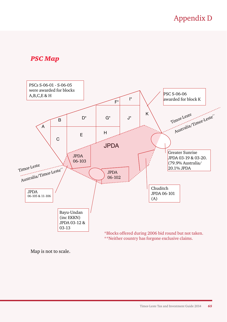# Appendix D

#### *PSC Map*



Map is not to scale.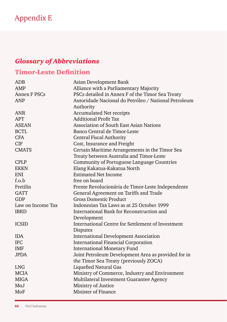# Appendix E

# *Glossary of Abbreviations*

# Timor-Leste Definition

| ADB               | Asian Development Bank                               |
|-------------------|------------------------------------------------------|
| AMP               | Alliance with a Parliamentary Majority               |
| Annex F PSCs      | PSCs detailed in Annex F of the Timor Sea Treaty     |
| <b>ANP</b>        | Autoridade Nacional do Petróleo / National Petroleum |
|                   | Authority                                            |
| <b>ANR</b>        | <b>Accumulated Net receipts</b>                      |
| <b>APT</b>        | <b>Additional Profit Tax</b>                         |
| <b>ASEAN</b>      | <b>Association of South East Asian Nations</b>       |
| <b>BCTL</b>       | Banco Central de Timor-Leste                         |
| <b>CFA</b>        | <b>Central Fiscal Authority</b>                      |
| CIF               | Cost, Insurance and Freight                          |
| <b>CMATS</b>      | Certain Maritime Arrangements in the Timor Sea       |
|                   | Treaty between Australia and Timor-Leste             |
| <b>CPLP</b>       | Community of Portuguese Language Countries           |
| <b>EKKN</b>       | Elang Kakatua-Kakatua North                          |
| <b>ENI</b>        | <b>Estimated Net Income</b>                          |
| f.o.b             | free on board                                        |
| Fretilin          | Frente Revolucionária de Timor-Leste Independente    |
| <b>GATT</b>       | General Agreement on Tariffs and Trade               |
| GDP               | <b>Gross Domestic Product</b>                        |
| Law on Income Tax | Indonesian Tax Laws as at 25 October 1999            |
| <b>IBRD</b>       | International Bank for Reconstruction and            |
|                   | Development                                          |
| <b>ICSID</b>      | International Centre for Settlement of Investment    |
|                   | Disputes                                             |
| <b>IDA</b>        | <b>International Development Association</b>         |
| <b>IFC</b>        | <b>International Financial Corporation</b>           |
| IMF               | <b>International Monetary Fund</b>                   |
| <b>JPDA</b>       | Joint Petroleum Development Area as provided for in  |
|                   | the Timor Sea Treaty (previously ZOCA)               |
| <b>LNG</b>        | <b>Liquefied Natural Gas</b>                         |
| <b>MCIA</b>       | Ministry of Commerce, Industry and Environment       |
| <b>MIGA</b>       | Multilateral Investment Guarantee Agency             |
| MoJ               | Ministry of Justice                                  |
| MoF               | Minister of Finance                                  |
|                   |                                                      |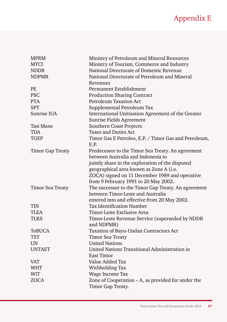# Appendix E

| <b>MPRM</b>             | Ministry of Petroleum and Mineral Resources           |
|-------------------------|-------------------------------------------------------|
| <b>MTCI</b>             | Ministry of Tourism, Commerce and Industry            |
| <b>NDDR</b>             | National Directorate of Domestic Revenue              |
| <b>NDPMR</b>            | National Directorate of Petroleum and Mineral         |
|                         | Revenues                                              |
| PE                      | Permanent Establishment                               |
| <b>PSC</b>              | <b>Production Sharing Contract</b>                    |
| <b>PTA</b>              | <b>Petroleum Taxation Act</b>                         |
| <b>SPT</b>              | Supplemental Petroleum Tax                            |
| Sunrise IUA             | International Unitisation Agreement of the Greater    |
|                         | Sunrise Fields Agreement                              |
| Tasi Mane               | Southern Coast Projects                               |
| TDA                     | Taxes and Duties Act                                  |
| <b>TGEP</b>             | Timor Gas E Petroleo, E.P. / Timor Gas and Petroleum, |
|                         | E.P.                                                  |
| <b>Timor Gap Treaty</b> | Predecessor to the Timor Sea Treaty. An agreement     |
|                         | between Australia and Indonesia to                    |
|                         | jointly share in the exploration of the disputed      |
|                         | geographical area known as Zone A (i.e.               |
|                         | ZOCA) signed on 11 December 1989 and operative        |
|                         | from 9 February 1991 to 20 May 2002.                  |
| <b>Timor Sea Treaty</b> | The successor to the Timor Gap Treaty. An agreement   |
|                         | between Timor-Leste and Australia                     |
|                         | entered into and effective from 20 May 2002.          |
| <b>TIN</b>              | Tax Identification Number                             |
| <b>TLEA</b>             | Timor-Leste Exclusive Area                            |
| <b>TLRS</b>             | Timor-Leste Revenue Service (superseded by NDDR       |
|                         | and NDPMR)                                            |
| <b>ToBUCA</b>           | Taxation of Bayu-Undan Contractors Act                |
| TST                     | <b>Timor Sea Treaty</b>                               |
| <b>UN</b>               | <b>United Nations</b>                                 |
| <b>UNTAET</b>           | United Nations Transitional Administration in         |
|                         | East Timor                                            |
| VAT                     | Value Added Tax                                       |
| <b>WHT</b>              | Withholding Tax                                       |
| <b>WIT</b>              | Wage Income Tax                                       |
| ZOCA                    | Zone of Cooperation – A, as provided for under the    |
|                         | Timor Gap Treaty.                                     |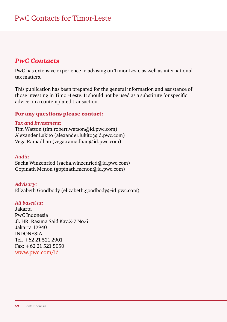#### *PwC Contacts*

PwC has extensive experience in advising on Timor-Leste as well as international tax matters.

This publication has been prepared for the general information and assistance of those investing in Timor-Leste. It should not be used as a substitute for specific advice on a contemplated transaction.

#### For any questions please contact:

#### *Tax and Investment:*

Tim Watson (tim.robert.watson@id.pwc.com) Alexander Lukito (alexander.lukito@id.pwc.com) Vega Ramadhan (vega.ramadhan@id.pwc.com)

#### *Audit:*

Sacha Winzenried (sacha.winzenried@id.pwc.com) Gopinath Menon (gopinath.menon@id.pwc.com)

*Advisory:* Elizabeth Goodbody (elizabeth.goodbody@id.pwc.com)

#### *All based at:*

Jakarta PwC Indonesia Jl. HR. Rasuna Said Kav.X-7 No.6 Jakarta 12940 INDONESIA Tel. +62 21 521 2901 Fax: +62 21 521 5050 www.pwc.com/id